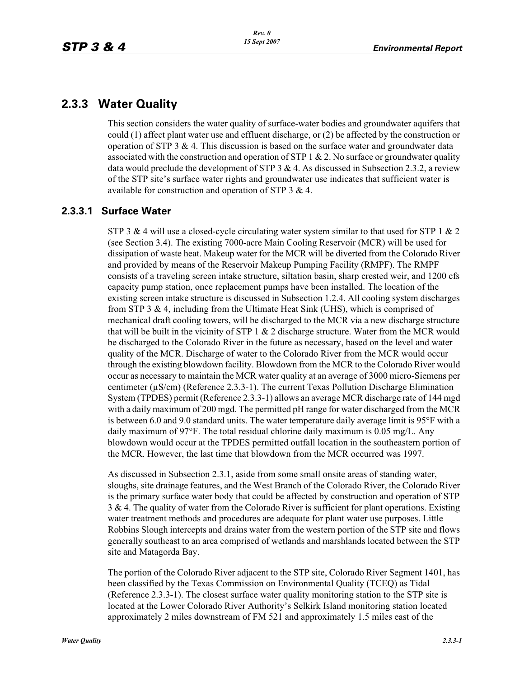## **2.3.3 Water Quality**

This section considers the water quality of surface-water bodies and groundwater aquifers that could (1) affect plant water use and effluent discharge, or (2) be affected by the construction or operation of STP 3 & 4. This discussion is based on the surface water and groundwater data associated with the construction and operation of STP 1  $\&$  2. No surface or groundwater quality data would preclude the development of STP 3  $& 4$ . As discussed in Subsection 2.3.2, a review of the STP site's surface water rights and groundwater use indicates that sufficient water is available for construction and operation of STP 3 & 4.

### **2.3.3.1 Surface Water**

STP 3 & 4 will use a closed-cycle circulating water system similar to that used for STP 1 & 2 (see Section 3.4). The existing 7000-acre Main Cooling Reservoir (MCR) will be used for dissipation of waste heat. Makeup water for the MCR will be diverted from the Colorado River and provided by means of the Reservoir Makeup Pumping Facility (RMPF). The RMPF consists of a traveling screen intake structure, siltation basin, sharp crested weir, and 1200 cfs capacity pump station, once replacement pumps have been installed. The location of the existing screen intake structure is discussed in Subsection 1.2.4. All cooling system discharges from STP 3 & 4, including from the Ultimate Heat Sink (UHS), which is comprised of mechanical draft cooling towers, will be discharged to the MCR via a new discharge structure that will be built in the vicinity of STP  $1 \& 2$  discharge structure. Water from the MCR would be discharged to the Colorado River in the future as necessary, based on the level and water quality of the MCR. Discharge of water to the Colorado River from the MCR would occur through the existing blowdown facility. Blowdown from the MCR to the Colorado River would occur as necessary to maintain the MCR water quality at an average of 3000 micro-Siemens per centimeter (μS/cm) (Reference 2.3.3-1). The current Texas Pollution Discharge Elimination System (TPDES) permit (Reference 2.3.3-1) allows an average MCR discharge rate of 144 mgd with a daily maximum of 200 mgd. The permitted pH range for water discharged from the MCR is between 6.0 and 9.0 standard units. The water temperature daily average limit is  $95^{\circ}$ F with a daily maximum of 97°F. The total residual chlorine daily maximum is 0.05 mg/L. Any blowdown would occur at the TPDES permitted outfall location in the southeastern portion of the MCR. However, the last time that blowdown from the MCR occurred was 1997.

As discussed in Subsection 2.3.1, aside from some small onsite areas of standing water, sloughs, site drainage features, and the West Branch of the Colorado River, the Colorado River is the primary surface water body that could be affected by construction and operation of STP  $3 \& 4$ . The quality of water from the Colorado River is sufficient for plant operations. Existing water treatment methods and procedures are adequate for plant water use purposes. Little Robbins Slough intercepts and drains water from the western portion of the STP site and flows generally southeast to an area comprised of wetlands and marshlands located between the STP site and Matagorda Bay.

The portion of the Colorado River adjacent to the STP site, Colorado River Segment 1401, has been classified by the Texas Commission on Environmental Quality (TCEQ) as Tidal (Reference 2.3.3-1). The closest surface water quality monitoring station to the STP site is located at the Lower Colorado River Authority's Selkirk Island monitoring station located approximately 2 miles downstream of FM 521 and approximately 1.5 miles east of the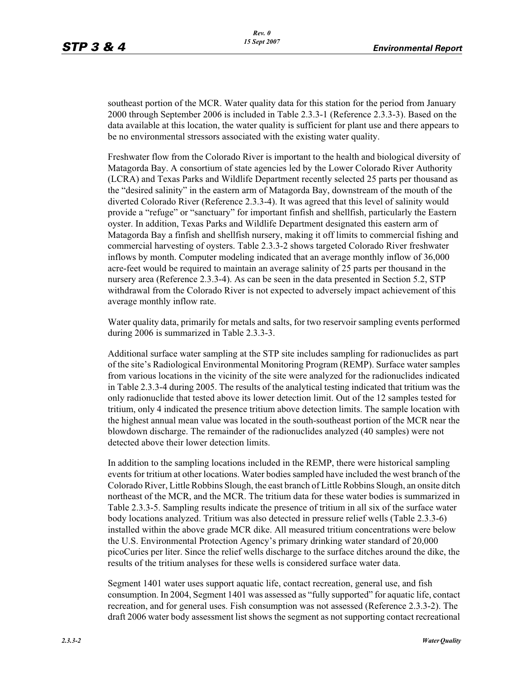southeast portion of the MCR. Water quality data for this station for the period from January 2000 through September 2006 is included in Table 2.3.3-1 (Reference 2.3.3-3). Based on the data available at this location, the water quality is sufficient for plant use and there appears to be no environmental stressors associated with the existing water quality.

Freshwater flow from the Colorado River is important to the health and biological diversity of Matagorda Bay. A consortium of state agencies led by the Lower Colorado River Authority (LCRA) and Texas Parks and Wildlife Department recently selected 25 parts per thousand as the "desired salinity" in the eastern arm of Matagorda Bay, downstream of the mouth of the diverted Colorado River (Reference 2.3.3-4). It was agreed that this level of salinity would provide a "refuge" or "sanctuary" for important finfish and shellfish, particularly the Eastern oyster. In addition, Texas Parks and Wildlife Department designated this eastern arm of Matagorda Bay a finfish and shellfish nursery, making it off limits to commercial fishing and commercial harvesting of oysters. Table 2.3.3-2 shows targeted Colorado River freshwater inflows by month. Computer modeling indicated that an average monthly inflow of 36,000 acre-feet would be required to maintain an average salinity of 25 parts per thousand in the nursery area (Reference 2.3.3-4). As can be seen in the data presented in Section 5.2, STP withdrawal from the Colorado River is not expected to adversely impact achievement of this average monthly inflow rate.

Water quality data, primarily for metals and salts, for two reservoir sampling events performed during 2006 is summarized in Table 2.3.3-3.

Additional surface water sampling at the STP site includes sampling for radionuclides as part of the site's Radiological Environmental Monitoring Program (REMP). Surface water samples from various locations in the vicinity of the site were analyzed for the radionuclides indicated in Table 2.3.3-4 during 2005. The results of the analytical testing indicated that tritium was the only radionuclide that tested above its lower detection limit. Out of the 12 samples tested for tritium, only 4 indicated the presence tritium above detection limits. The sample location with the highest annual mean value was located in the south-southeast portion of the MCR near the blowdown discharge. The remainder of the radionuclides analyzed (40 samples) were not detected above their lower detection limits.

In addition to the sampling locations included in the REMP, there were historical sampling events for tritium at other locations. Water bodies sampled have included the west branch of the Colorado River, Little Robbins Slough, the east branch of Little Robbins Slough, an onsite ditch northeast of the MCR, and the MCR. The tritium data for these water bodies is summarized in Table 2.3.3-5. Sampling results indicate the presence of tritium in all six of the surface water body locations analyzed. Tritium was also detected in pressure relief wells (Table 2.3.3-6) installed within the above grade MCR dike. All measured tritium concentrations were below the U.S. Environmental Protection Agency's primary drinking water standard of 20,000 picoCuries per liter. Since the relief wells discharge to the surface ditches around the dike, the results of the tritium analyses for these wells is considered surface water data.

Segment 1401 water uses support aquatic life, contact recreation, general use, and fish consumption. In 2004, Segment 1401 was assessed as "fully supported" for aquatic life, contact recreation, and for general uses. Fish consumption was not assessed (Reference 2.3.3-2). The draft 2006 water body assessment list shows the segment as not supporting contact recreational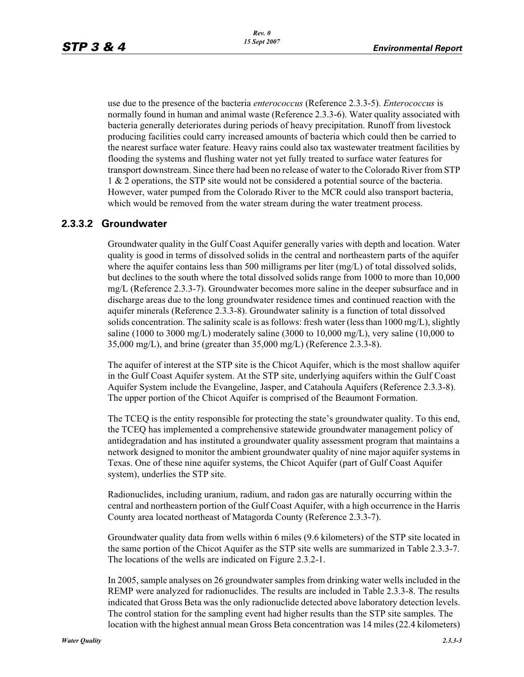use due to the presence of the bacteria *enterococcus* (Reference 2.3.3-5). *Enterococcus* is normally found in human and animal waste (Reference 2.3.3-6). Water quality associated with bacteria generally deteriorates during periods of heavy precipitation. Runoff from livestock producing facilities could carry increased amounts of bacteria which could then be carried to the nearest surface water feature. Heavy rains could also tax wastewater treatment facilities by flooding the systems and flushing water not yet fully treated to surface water features for transport downstream. Since there had been no release of water to the Colorado River from STP 1 & 2 operations, the STP site would not be considered a potential source of the bacteria. However, water pumped from the Colorado River to the MCR could also transport bacteria, which would be removed from the water stream during the water treatment process.

### **2.3.3.2 Groundwater**

Groundwater quality in the Gulf Coast Aquifer generally varies with depth and location. Water quality is good in terms of dissolved solids in the central and northeastern parts of the aquifer where the aquifer contains less than 500 milligrams per liter  $(mg/L)$  of total dissolved solids, but declines to the south where the total dissolved solids range from 1000 to more than 10,000 mg/L (Reference 2.3.3-7). Groundwater becomes more saline in the deeper subsurface and in discharge areas due to the long groundwater residence times and continued reaction with the aquifer minerals (Reference 2.3.3-8). Groundwater salinity is a function of total dissolved solids concentration. The salinity scale is as follows: fresh water (less than 1000 mg/L), slightly saline (1000 to 3000 mg/L) moderately saline (3000 to 10,000 mg/L), very saline (10,000 to 35,000 mg/L), and brine (greater than 35,000 mg/L) (Reference 2.3.3-8).

The aquifer of interest at the STP site is the Chicot Aquifer, which is the most shallow aquifer in the Gulf Coast Aquifer system. At the STP site, underlying aquifers within the Gulf Coast Aquifer System include the Evangeline, Jasper, and Catahoula Aquifers (Reference 2.3.3-8). The upper portion of the Chicot Aquifer is comprised of the Beaumont Formation.

The TCEQ is the entity responsible for protecting the state's groundwater quality. To this end, the TCEQ has implemented a comprehensive statewide groundwater management policy of antidegradation and has instituted a groundwater quality assessment program that maintains a network designed to monitor the ambient groundwater quality of nine major aquifer systems in Texas. One of these nine aquifer systems, the Chicot Aquifer (part of Gulf Coast Aquifer system), underlies the STP site.

Radionuclides, including uranium, radium, and radon gas are naturally occurring within the central and northeastern portion of the Gulf Coast Aquifer, with a high occurrence in the Harris County area located northeast of Matagorda County (Reference 2.3.3-7).

Groundwater quality data from wells within 6 miles (9.6 kilometers) of the STP site located in the same portion of the Chicot Aquifer as the STP site wells are summarized in Table 2.3.3-7. The locations of the wells are indicated on Figure 2.3.2-1.

In 2005, sample analyses on 26 groundwater samples from drinking water wells included in the REMP were analyzed for radionuclides. The results are included in Table 2.3.3-8. The results indicated that Gross Beta was the only radionuclide detected above laboratory detection levels. The control station for the sampling event had higher results than the STP site samples. The location with the highest annual mean Gross Beta concentration was 14 miles (22.4 kilometers)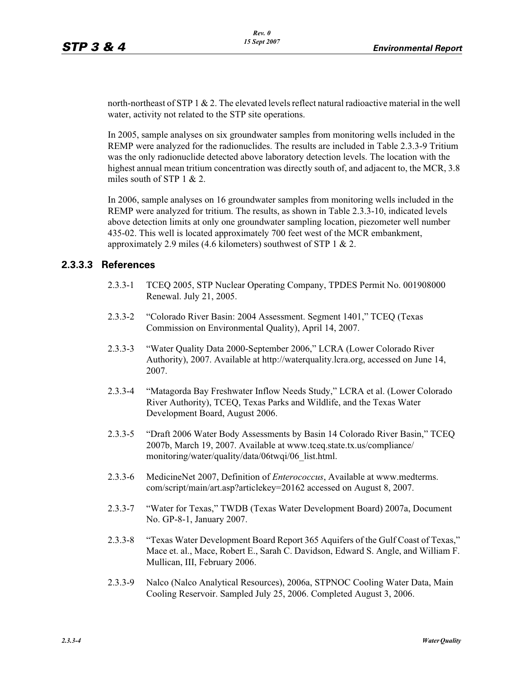north-northeast of STP 1 & 2. The elevated levels reflect natural radioactive material in the well water, activity not related to the STP site operations.

In 2005, sample analyses on six groundwater samples from monitoring wells included in the REMP were analyzed for the radionuclides. The results are included in Table 2.3.3-9 Tritium was the only radionuclide detected above laboratory detection levels. The location with the highest annual mean tritium concentration was directly south of, and adjacent to, the MCR, 3.8 miles south of STP  $1 & 2$ .

In 2006, sample analyses on 16 groundwater samples from monitoring wells included in the REMP were analyzed for tritium. The results, as shown in Table 2.3.3-10, indicated levels above detection limits at only one groundwater sampling location, piezometer well number 435-02. This well is located approximately 700 feet west of the MCR embankment, approximately 2.9 miles (4.6 kilometers) southwest of STP 1 & 2.

### **2.3.3.3 References**

- 2.3.3-1 TCEQ 2005, STP Nuclear Operating Company, TPDES Permit No. 001908000 Renewal. July 21, 2005.
- 2.3.3-2 "Colorado River Basin: 2004 Assessment. Segment 1401," TCEQ (Texas Commission on Environmental Quality), April 14, 2007.
- 2.3.3-3 "Water Quality Data 2000-September 2006," LCRA (Lower Colorado River Authority), 2007. Available at http://waterquality.lcra.org, accessed on June 14, 2007.
- 2.3.3-4 "Matagorda Bay Freshwater Inflow Needs Study," LCRA et al. (Lower Colorado River Authority), TCEQ, Texas Parks and Wildlife, and the Texas Water Development Board, August 2006.
- 2.3.3-5 "Draft 2006 Water Body Assessments by Basin 14 Colorado River Basin," TCEQ 2007b, March 19, 2007. Available at www.tceq.state.tx.us/compliance/ monitoring/water/quality/data/06twqi/06\_list.html.
- 2.3.3-6 MedicineNet 2007, Definition of *Enterococcus*, Available at www.medterms. com/script/main/art.asp?articlekey=20162 accessed on August 8, 2007.
- 2.3.3-7 "Water for Texas," TWDB (Texas Water Development Board) 2007a, Document No. GP-8-1, January 2007.
- 2.3.3-8 "Texas Water Development Board Report 365 Aquifers of the Gulf Coast of Texas," Mace et. al., Mace, Robert E., Sarah C. Davidson, Edward S. Angle, and William F. Mullican, III, February 2006.
- 2.3.3-9 Nalco (Nalco Analytical Resources), 2006a, STPNOC Cooling Water Data, Main Cooling Reservoir. Sampled July 25, 2006. Completed August 3, 2006.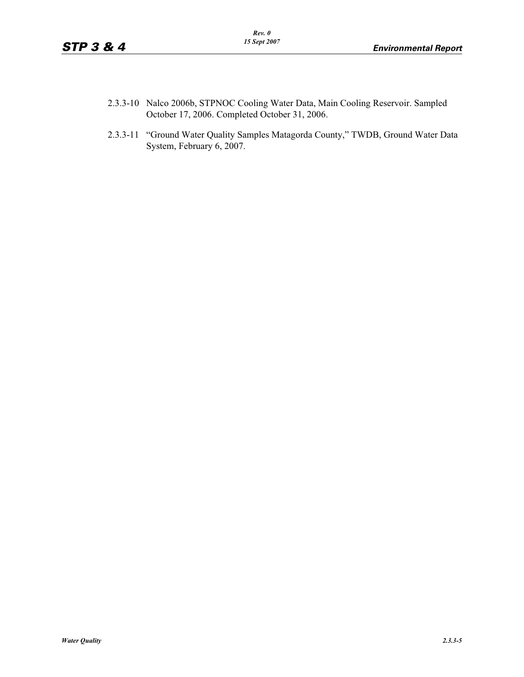- 2.3.3-10 Nalco 2006b, STPNOC Cooling Water Data, Main Cooling Reservoir. Sampled October 17, 2006. Completed October 31, 2006.
- 2.3.3-11 "Ground Water Quality Samples Matagorda County," TWDB, Ground Water Data System, February 6, 2007.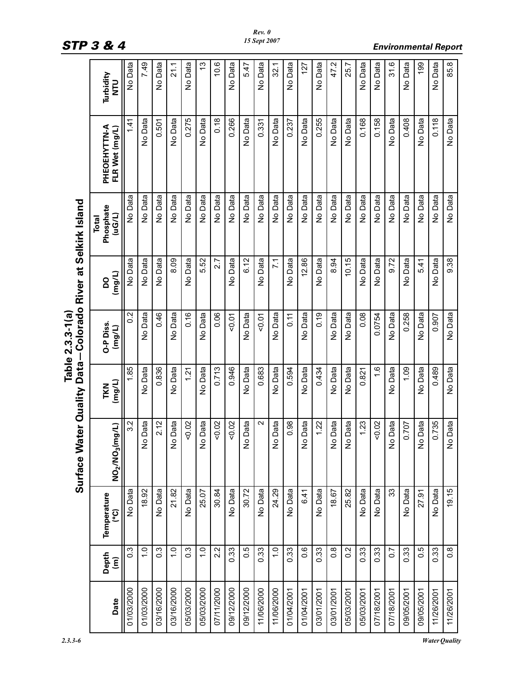L

|                                   | Turbidity<br>DLN                        | No Data          | 7.49          | No Data          | 21.1                  | No Data          | $\frac{3}{2}$ | 10.6       | No Data    | 5.47       | No Data    | 32.1             | No Data       | 127        | No Data    | 47.2             | 25.7       | No Data    | No Data       | 31.6       | No Data    | 199        | No Data    | 85.8             |
|-----------------------------------|-----------------------------------------|------------------|---------------|------------------|-----------------------|------------------|---------------|------------|------------|------------|------------|------------------|---------------|------------|------------|------------------|------------|------------|---------------|------------|------------|------------|------------|------------------|
|                                   | PHEOEHYTTN-A<br>FLR Wet (mg/L)          | 1.41             | No Data       | 0.501            | No Data               | 0.275            | No Data       | 0.18       | 0.266      | No Data    | 0.331      | No Data          | 0.237         | No Data    | 0.255      | No Data          | No Data    | 0.168      | 0.158         | No Data    | 0.408      | No Data    | 0.118      | No Data          |
|                                   | Phosphate<br>(UG/L)<br><b>Total</b>     | No Data          | No Data       | No Data          | No Data               | No Data          | No Data       | No Data    | No Data    | No Data    | No Data    | No Data          | No Data       | No Data    | No Data    | No Data          | No Data    | No Data    | No Data       | No Data    | No Data    | No Data    | No Data    | No Data          |
| -Colorado River at Selkirk Island | (mg/L)<br>ρQ                            | No Data          | No Data       | No Data          | 8.09                  | No Data          | 5.52          | 2.7        | No Data    | 6.12       | No Data    | $\overline{7.1}$ | No Data       | 12.86      | No Data    | 8.94             | 10.15      | No Data    | No Data       | 9.72       | No Data    | 5.41       | No Data    | 9.38             |
| Table 2.3.3-1(a)                  | O-P Diss.<br>(mg/L)                     | 0.2              | No Data       | 0.46             | No Data               | 0.16             | No Data       | 0.06       | 50.07      | No Data    | 50.07      | No Data          | $\frac{1}{2}$ | No Data    | 0.19       | No Data          | No Data    | 0.08       | 0.0754        | No Data    | 0.258      | No Data    | 0.907      | No Data          |
|                                   | (mg/L)<br>TKN                           | 1.85             | No Data       | 0.836            | No Data               | 1.21             | No Data       | 0.713      | 0.946      | No Data    | 0.683      | No Data          | 0.594         | No Data    | 0.434      | No Data          | No Data    | 0.821      | $\frac{6}{1}$ | No Data    | 1.09       | No Data    | 0.489      | No Data          |
| Surface Water Quality Data        | NO <sub>2</sub> /NO <sub>3</sub> (mq/L) | 3.2              | No Data       | 2.12             | Data<br>$\frac{1}{2}$ | 0.02             | No Data       | 50.02      | 0.02       | No Data    | $\sim$     | No Data          | 0.98          | No Data    | 1.22       | No Data          | No Data    | 1.23       | 0.02          | No Data    | 0.707      | No Data    | 0.735      | No Data          |
|                                   | Temperature<br>ၟ                        | No Data          | 18.92         | No Data          | 21.82                 | No Data          | 25.07         | 30.84      | No Data    | 30.72      | No Data    | 24.29            | No Data       | 6.41       | No Data    | 18.67            | 25.82      | No Data    | No Data       | 33         | No Data    | 27.91      | No Data    | 19.15            |
|                                   | Depth<br>(m)                            | $0.\overline{3}$ | $\frac{0}{1}$ | $0.\overline{3}$ | $\frac{0}{1}$         | $0.\overline{3}$ | $\frac{0}{1}$ | 2.2        | 0.33       | 0.5        | 0.33       | $\frac{0}{1}$    | 0.33          | 0.6        | 0.33       | $0.\overline{8}$ | 0.2        | 0.33       | 0.33          | 0.7        | 0.33       | 0.5        | 0.33       | $0.\overline{8}$ |
|                                   | Date                                    | 01/03/2000       | 01/03/2000    | 03/16/2000       | 03/16/2000            | 05/03/2000       | 05/03/2000    | 07/11/2000 | 09/12/2000 | 09/12/2000 | 11/06/2000 | 11/06/2000       | 01/04/2001    | 01/04/2001 | 03/01/2001 | 03/01/2001       | 05/03/2001 | 05/03/2001 | 07/18/2001    | 07/18/2001 | 09/05/2001 | 09/05/2001 | 11/26/2001 | 11/26/2001       |

# *STP 3 & 4 Environmental Report*

*Rev. 0 15 Sept 2007*

*2.3.3-6 Water Quality*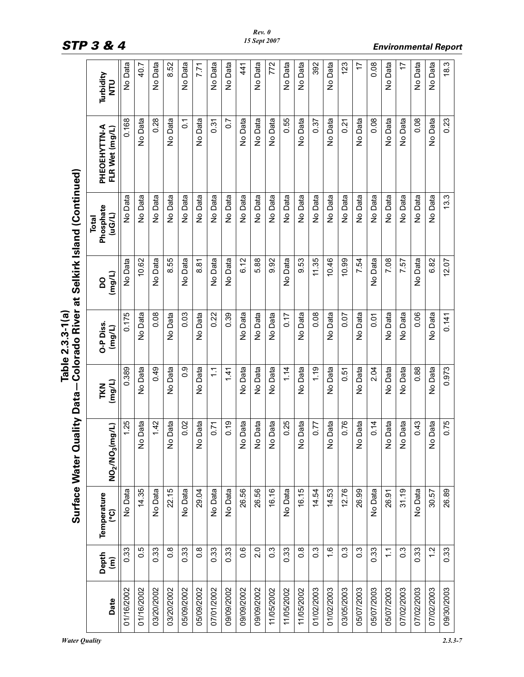| ŏ           |  |
|-------------|--|
|             |  |
| i           |  |
| )ata        |  |
| <u>ุา</u>   |  |
| dlity       |  |
| ⋍           |  |
| 3<br>2      |  |
| ັ           |  |
| <b>lete</b> |  |
|             |  |
|             |  |
|             |  |
| surtace     |  |
|             |  |
|             |  |
|             |  |
|             |  |

|            |                   |                          | villen<br>Surface Water Q | Data            | Table 2.3.3-1(a     |              | Colorado River at Selkirk Island (Continued) |                                |                  |
|------------|-------------------|--------------------------|---------------------------|-----------------|---------------------|--------------|----------------------------------------------|--------------------------------|------------------|
| Date       | Depth<br>(m)      | Temperature<br><u>ုး</u> | NO2/NO3(mg/L)             | (mg/L)<br>TKN   | O-P Diss.<br>(mg/L) | (mg/L)<br>OQ | Phosphate<br>(uG/L)<br>Total                 | PHEOEHYTTN-A<br>FLR Wet (mg/L) | Turbidity<br>DLN |
| 01/16/2002 | 0.33              | No Data                  | 1.25                      | 0.389           | 0.175               | No Data      | No Data                                      | 0.168                          | No Data          |
| 01/16/2002 | 0.5               | 14.35                    | No Data                   | No Data         | No Data             | 10.62        | No Data                                      | No Data                        | 40.7             |
| 03/20/2002 | 0.33              | No Data                  | 1.42                      | 0.49            | 0.08                | No Data      | No Data                                      | 0.28                           | No Data          |
| 03/20/2002 | $\frac{8}{2}$     | 22.15                    | No Data                   | No Data         | No Data             | 8.55         | No Data                                      | No Data                        | 8.52             |
| 05/09/2002 | 0.33              | No Data                  | 0.02                      | $\frac{0}{2}$   | 0.03                | No Data      | No Data                                      | $\overline{c}$                 | No Data          |
| 05/09/2002 | $\frac{8}{2}$     | 29.04                    | No Data                   | No Data         | No Data             | 8.81         | No Data                                      | No Data                        | 7.71             |
| 07/01/2002 | 0.33              | No Data                  | 0.71                      | $\tilde{\cdot}$ | 0.22                | No Data      | No Data                                      | 0.31                           | No Data          |
| 09/09/2002 | 0.33              | No Data                  | 0.19                      | 1.41            | 0.39                | No Data      | No Data                                      | $\overline{0}$ .               | No Data          |
| 09/09/2002 | $0.\overline{6}$  | 26.56                    | No Data                   | No Data         | No Data             | 6.12         | No Data                                      | No Data                        | 41               |
| 09/09/2002 | 2.0               | 26.56                    | No Data                   | No Data         | No Data             | 5.88         | No Data                                      | No Data                        | No Data          |
| 11/05/2002 | $0.\overline{3}$  | 16.16                    | No Data                   | No Data         | No Data             | 9.92         | No Data                                      | No Data                        | 772              |
| 11/05/2002 | 0.33              | No Data                  | 0.25                      | 1.14            | 0.17                | No Data      | No Data                                      | 0.55                           | No Data          |
| 11/05/2002 | $\overline{0}$ .8 | 16.15                    | Data<br>$\frac{1}{2}$     | No Data         | No Data             | 9.53         | No Data                                      | No Data                        | No Data          |
| 01/02/2003 | $0.\overline{3}$  | 14.54                    | 0.77                      | 1.19            | 0.08                | 11.35        | No Data                                      | 0.37                           | 392              |
| 01/02/2003 | $\frac{6}{1}$     | 14.53                    | Data<br>$\frac{1}{2}$     | No Data         | No Data             | 10.46        | No Data                                      | No Data                        | No Data          |
| 03/05/2003 | $0.\overline{3}$  | 12.76                    | 0.76                      | 0.51            | 0.07                | 10.99        | No Data                                      | 0.21                           | 123              |
| 05/07/2003 | $0.\overline{3}$  | 26.99                    | Data<br>$\frac{1}{2}$     | No Data         | No Data             | 7.54         | No Data                                      | No Data                        | 17               |
| 05/07/2003 | 0.33              | No Data                  | 0.14                      | 2.04            | 0.01                | No Data      | No Data                                      | 0.08                           | 0.08             |
| 05/07/2003 | $\tilde{=}$       | 26.91                    | No Data                   | No Data         | No Data             | 7.08         | No Data                                      | No Data                        | No Data          |
| 07/02/2003 | $0.\overline{3}$  | 31.19                    | No Data                   | No Data         | No Data             | 7.57         | No Data                                      | No Data                        | 17               |
| 07/02/2003 | 0.33              | No Data                  | 0.43                      | 0.88            | 0.06                | No Data      | No Data                                      | 0.08                           | No Data          |
| 07/02/2003 | $\frac{2}{1}$     | 30.57                    | Data<br>$\frac{1}{2}$     | No Data         | No Data             | 6.82         | No Data                                      | No Data                        | No Data          |
| 09/30/2003 | 0.33              | 26.89                    | 0.75                      | 0.973           | 0.141               | 12.07        | 13.3                                         | 0.23                           | 18.3             |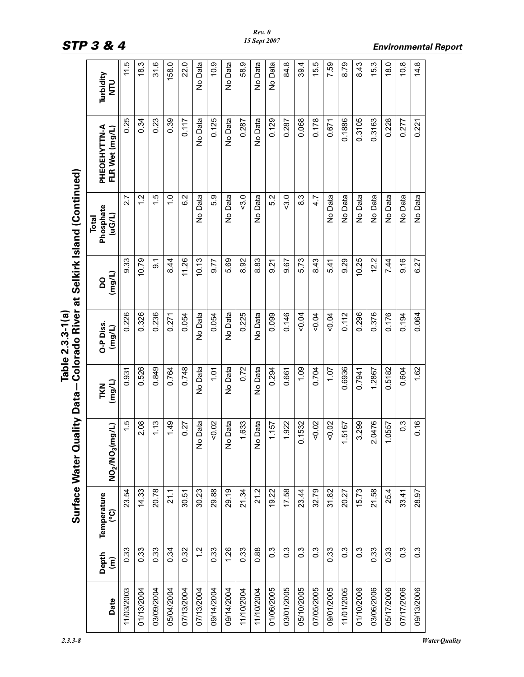|            |                                 |                   | <b>Luality Data</b><br>Surface Water Q |               | Table 2.3.3-1 (a)   |          | Colorado River at Selkirk Island (Continued) |                                |                         |
|------------|---------------------------------|-------------------|----------------------------------------|---------------|---------------------|----------|----------------------------------------------|--------------------------------|-------------------------|
| Date       | Depth<br>$\widehat{\mathsf{E}}$ | Temperature<br>၉၅ | (mg/L)<br><b>NO2/NO3</b>               | TKN<br>(mg/L) | O-P Diss.<br>(mg/L) | Urew)    | Phosphate<br>(uG/L)<br>Total                 | PHEOEHYTTN-A<br>FLR Wet (mg/L) | Turbidity<br><b>NTU</b> |
| 11/03/2003 | 0.33                            | 23.54             | r.                                     | 0.931         | 0.226               | 9.33     | 2.7                                          | 0.25                           | 11.5<br>17              |
| 01/13/2004 | 0.33                            | 14.33             | 2.08                                   | 0.526         | 0.326               | 10.79    | $\frac{2}{1}$                                | 0.34                           | 18.3                    |
| 03/09/2004 | 0.33                            | 20.78             | 1.13                                   | 0.849         | 0.236               | <u>ွ</u> | $\frac{5}{1}$                                | 0.23                           | ও<br>ਨ                  |
| 05/04/2004 | 0.34                            | 21.1              | 1.49                                   | 0.764         | 0.271               | 8.44     | $\frac{0}{1}$                                | 0.39                           | 158.0                   |
| 07/13/2004 | 0.32                            | 30.51             | 0.27                                   | 0.748         | 0.054               | 11.26    | 6.2                                          | 0.117                          | 22.0                    |
| 07/13/2004 | $\frac{2}{1}$                   | 30.23             | <b>No Data</b>                         | No Data       | No Data             | 10.13    | No Data                                      | No Data                        | No Data                 |
| 09/14/2004 | 0.33                            | 29.88             | 50.02                                  | 1.01          | 0.054               | 9.77     | 5.9                                          | 0.125                          | $\frac{0}{2}$           |
| 09/14/2004 | 1.26                            | 29.19             | <b>No Data</b>                         | No Data       | No Data             | 5.69     | No Data                                      | No Data                        | No Data                 |
| 11/10/2004 | 0.33                            | 21.34             | 1.633                                  | 0.72          | 0.225               | 8.92     | $-3.0$                                       | 0.287                          | 58.9                    |
| 11/10/2004 | 0.88                            | 21.2              | <b>No Data</b>                         | No Data       | No Data             | 8.83     | No Data                                      | No Data                        | No Data                 |
| 01/06/2005 | $0.\overline{3}$                | 19.22             | 1.157                                  | 0.294         | 0.099               | 9.21     | 5.2                                          | 0.129                          | No Data                 |
| 03/01/2005 | $0.\overline{3}$                | 17.58             | 1.922                                  | 0.661         | 0.146               | 9.67     | 3.0                                          | 0.287                          | 84.8                    |
| 05/10/2005 | $0.\overline{3}$                | 23.44             | 0.1532                                 | 1.09          | 50.04               | 5.73     | 8.3                                          | 0.068                          | 39.4                    |
| 07/05/2005 | $0.\overline{3}$                | 32.79             | 50.02                                  | 0.704         | 50.04               | 8.43     | 4.7                                          | 0.178                          | 15.5                    |
| 09/01/2005 | 0.33                            | 31.82             | 50.02                                  | 1.07          | 50.04               | 5.41     | No Data                                      | 0.671                          | 7.59                    |
| 11/01/2005 | $\frac{3}{2}$                   | 20.27             | 1.5167                                 | 0.6936        | 0.112               | 9.29     | No Data                                      | 0.1886                         | 8.79                    |
| 01/10/2006 | $0.\overline{3}$                | 15.73             | 3.299                                  | 0.7941        | 0.296               | 10.25    | No Data                                      | 0.3105                         | 8.43                    |
| 03/06/2006 | 0.33                            | 21.58             | 2.0476                                 | 1.2867        | 0.376               | 12.2     | No Data                                      | 0.3163                         | 15.3                    |
| 05/17/2006 | 0.33                            | 25.4              | 1.0557                                 | 0.5182        | 0.176               | 7.44     | No Data                                      | 0.228                          | $\frac{0}{6}$           |
| 07/17/2006 | $0.\overline{3}$                | 33.41             | $\frac{3}{2}$                          | 0.604         | 0.194               | 9.16     | No Data                                      | 0.277                          | $\frac{8}{2}$           |
| 09/13/2006 | $\frac{3}{2}$                   | 28.97             | 0.16                                   | 1.62          | 0.064               | 6.27     | No Data                                      | 0.221                          | $\frac{4.8}{4}$         |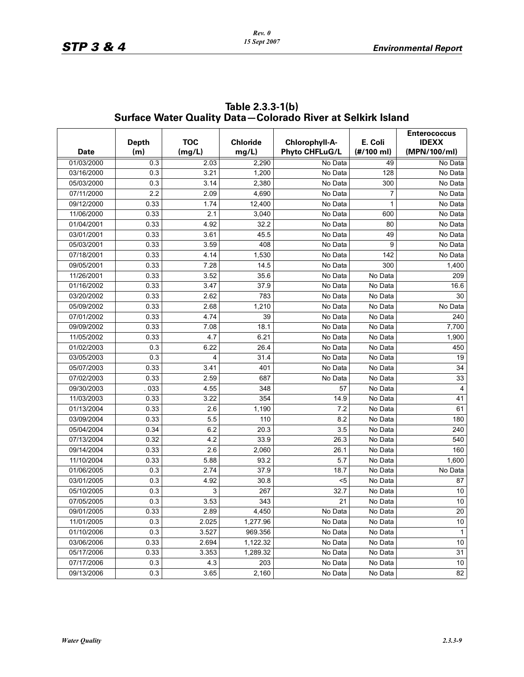|             |              |            |                 |                       |                         | <b>Enterococcus</b> |
|-------------|--------------|------------|-----------------|-----------------------|-------------------------|---------------------|
|             | <b>Depth</b> | <b>TOC</b> | <b>Chloride</b> | Chlorophyll-A-        | E. Coli                 | <b>IDEXX</b>        |
| <b>Date</b> | (m)          | (mg/L)     | mg/L)           | <b>Phyto CHFLuG/L</b> | $(\# / 100 \text{ ml})$ | (MPN/100/ml)        |
| 01/03/2000  | 0.3          | 2.03       | 2,290           | No Data               | 49                      | No Data             |
| 03/16/2000  | 0.3          | 3.21       | 1,200           | No Data               | 128                     | No Data             |
| 05/03/2000  | 0.3          | 3.14       | 2,380           | No Data               | 300                     | No Data             |
| 07/11/2000  | 2.2          | 2.09       | 4,690           | No Data               | $\overline{7}$          | No Data             |
| 09/12/2000  | 0.33         | 1.74       | 12,400          | No Data               | $\mathbf{1}$            | No Data             |
| 11/06/2000  | 0.33         | 2.1        | 3,040           | No Data               | 600                     | No Data             |
| 01/04/2001  | 0.33         | 4.92       | 32.2            | No Data               | 80                      | No Data             |
| 03/01/2001  | 0.33         | 3.61       | 45.5            | No Data               | 49                      | No Data             |
| 05/03/2001  | 0.33         | 3.59       | 408             | No Data               | 9                       | No Data             |
| 07/18/2001  | 0.33         | 4.14       | 1,530           | No Data               | 142                     | No Data             |
| 09/05/2001  | 0.33         | 7.28       | 14.5            | No Data               | 300                     | 1,400               |
| 11/26/2001  | 0.33         | 3.52       | 35.6            | No Data               | No Data                 | 209                 |
| 01/16/2002  | 0.33         | 3.47       | 37.9            | No Data               | No Data                 | 16.6                |
| 03/20/2002  | 0.33         | 2.62       | 783             | No Data               | No Data                 | 30                  |
| 05/09/2002  | 0.33         | 2.68       | 1,210           | No Data               | No Data                 | No Data             |
| 07/01/2002  | 0.33         | 4.74       | 39              | No Data               | No Data                 | 240                 |
| 09/09/2002  | 0.33         | 7.08       | 18.1            | No Data               | No Data                 | 7,700               |
| 11/05/2002  | 0.33         | 4.7        | 6.21            | No Data               | No Data                 | 1,900               |
| 01/02/2003  | 0.3          | 6.22       | 26.4            | No Data               | No Data                 | 450                 |
| 03/05/2003  | 0.3          | 4          | 31.4            | No Data               | No Data                 | 19                  |
| 05/07/2003  | 0.33         | 3.41       | 401             | No Data               | No Data                 | 34                  |
| 07/02/2003  | 0.33         | 2.59       | 687             | No Data               | No Data                 | 33                  |
| 09/30/2003  | 033          | 4.55       | 348             | 57                    | No Data                 | 4                   |
| 11/03/2003  | 0.33         | 3.22       | 354             | 14.9                  | No Data                 | 41                  |
| 01/13/2004  | 0.33         | 2.6        | 1,190           | 7.2                   | No Data                 | 61                  |
| 03/09/2004  | 0.33         | 5.5        | 110             | 8.2                   | No Data                 | 180                 |
| 05/04/2004  | 0.34         | 6.2        | 20.3            | 3.5                   | No Data                 | 240                 |
| 07/13/2004  | 0.32         | 4.2        | 33.9            | 26.3                  | No Data                 | 540                 |
| 09/14/2004  | 0.33         | 2.6        | 2,060           | 26.1                  | No Data                 | 160                 |
| 11/10/2004  | 0.33         | 5.88       | 93.2            | 5.7                   | No Data                 | 1,600               |
| 01/06/2005  | 0.3          | 2.74       | 37.9            | 18.7                  | No Data                 | No Data             |
| 03/01/2005  | 0.3          | 4.92       | 30.8            | $5$                   | No Data                 | 87                  |
| 05/10/2005  | 0.3          | 3          | 267             | 32.7                  | No Data                 | $10$                |
| 07/05/2005  | 0.3          | 3.53       | 343             | 21                    | No Data                 | 10                  |
| 09/01/2005  | 0.33         | 2.89       | 4,450           | No Data               | No Data                 | 20                  |
| 11/01/2005  | 0.3          | 2.025      | 1,277.96        | No Data               | No Data                 | 10                  |
| 01/10/2006  | 0.3          | 3.527      | 969.356         | No Data               | No Data                 | $\mathbf{1}$        |
| 03/06/2006  | 0.33         | 2.694      | 1,122.32        | No Data               | No Data                 | 10                  |
| 05/17/2006  | 0.33         | 3.353      | 1,289.32        | No Data               | No Data                 | 31                  |
| 07/17/2006  | 0.3          | 4.3        | 203             | No Data               | No Data                 | 10                  |
| 09/13/2006  | 0.3          | 3.65       | 2,160           | No Data               | No Data                 | 82                  |

### **Table 2.3.3-1(b) Surface Water Quality Data—Colorado River at Selkirk Island**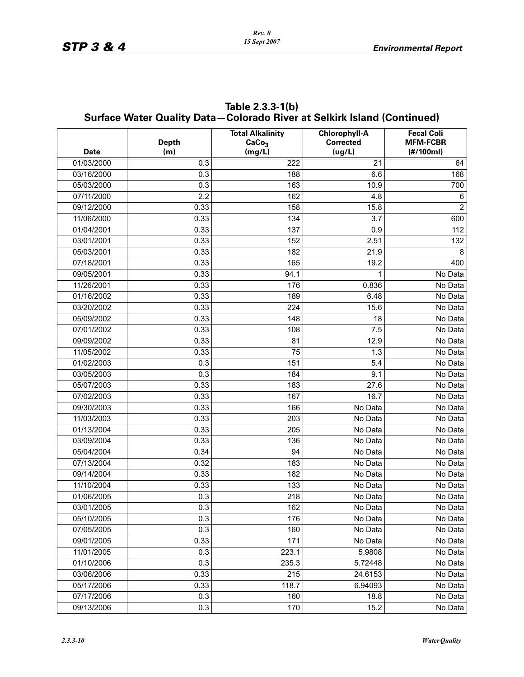|             |                     | <b>Surface Water Quality Data-Colorado River at Selkirk Island (Continued)</b> |                                                    |                                                   |
|-------------|---------------------|--------------------------------------------------------------------------------|----------------------------------------------------|---------------------------------------------------|
| <b>Date</b> | <b>Depth</b><br>(m) | <b>Total Alkalinity</b><br>CaCo <sub>3</sub><br>(mg/L)                         | <b>Chlorophyll-A</b><br><b>Corrected</b><br>(ug/L) | <b>Fecal Coli</b><br><b>MFM-FCBR</b><br>(H/100ml) |
| 01/03/2000  | 0.3                 | 222                                                                            | $\overline{21}$                                    | 64                                                |
| 03/16/2000  | 0.3                 | 188                                                                            | 6.6                                                | 168                                               |
| 05/03/2000  | 0.3                 | 163                                                                            | 10.9                                               | 700                                               |
| 07/11/2000  | 2.2                 | 162                                                                            | 4.8                                                | 6                                                 |
| 09/12/2000  | 0.33                | 158                                                                            | 15.8                                               | $\overline{2}$                                    |
| 11/06/2000  | 0.33                | 134                                                                            | 3.7                                                | 600                                               |
| 01/04/2001  | 0.33                | 137                                                                            | 0.9                                                | 112                                               |
| 03/01/2001  | 0.33                | 152                                                                            | 2.51                                               | 132                                               |
| 05/03/2001  | 0.33                | 182                                                                            | 21.9                                               | 8                                                 |
| 07/18/2001  | 0.33                | 165                                                                            | 19.2                                               | 400                                               |
| 09/05/2001  | 0.33                | 94.1                                                                           |                                                    | No Data                                           |
| 11/26/2001  | 0.33                | 176                                                                            | 0.836                                              | No Data                                           |
| 01/16/2002  | 0.33                | 189                                                                            | 6.48                                               | No Data                                           |
| 03/20/2002  | 0.33                | 224                                                                            | 15.6                                               | No Data                                           |
| 05/09/2002  | 0.33                | 148                                                                            | 18                                                 | No Data                                           |
| 07/01/2002  | 0.33                | 108                                                                            | 7.5                                                | No Data                                           |
| 09/09/2002  | 0.33                | 81                                                                             | 12.9                                               | No Data                                           |
| 11/05/2002  | 0.33                | 75                                                                             | 1.3                                                | No Data                                           |
| 01/02/2003  | 0.3                 | 151                                                                            | 5.4                                                | No Data                                           |
| 03/05/2003  | 0.3                 | 184                                                                            | 9.1                                                | No Data                                           |
| 05/07/2003  | 0.33                | 183                                                                            | 27.6                                               | No Data                                           |
| 07/02/2003  | 0.33                | 167                                                                            | 16.7                                               | No Data                                           |
| 09/30/2003  | 0.33                | 166                                                                            | No Data                                            | No Data                                           |
| 11/03/2003  | 0.33                | 203                                                                            | No Data                                            | No Data                                           |
| 01/13/2004  | 0.33                | 205                                                                            | No Data                                            | No Data                                           |
| 03/09/2004  | 0.33                | 136                                                                            | No Data                                            | No Data                                           |
| 05/04/2004  | 0.34                | 94                                                                             | No Data                                            | No Data                                           |
| 07/13/2004  | 0.32                | 183                                                                            | No Data                                            | No Data                                           |
| 09/14/2004  | 0.33                | 182                                                                            | No Data                                            | No Data                                           |
| 11/10/2004  | 0.33                | 133                                                                            | No Data                                            | No Data                                           |
| 01/06/2005  | 0.3                 | 218                                                                            | No Data                                            | No Data                                           |
| 03/01/2005  | 0.3                 | 162                                                                            | No Data                                            | No Data                                           |
| 05/10/2005  | 0.3                 | 176                                                                            | No Data                                            | No Data                                           |
| 07/05/2005  | 0.3                 | 160                                                                            | No Data                                            | No Data                                           |
| 09/01/2005  | 0.33                | 171                                                                            | No Data                                            | No Data                                           |
| 11/01/2005  | 0.3                 | 223.1                                                                          | 5.9808                                             | No Data                                           |
| 01/10/2006  | 0.3                 | 235.3                                                                          | 5.72448                                            | No Data                                           |
| 03/06/2006  | 0.33                | 215                                                                            | 24.6153                                            | No Data                                           |
| 05/17/2006  | 0.33                | 118.7                                                                          | 6.94093                                            | No Data                                           |
| 07/17/2006  | 0.3                 | 160                                                                            | 18.8                                               | No Data                                           |
| 09/13/2006  | 0.3                 | 170                                                                            | 15.2                                               | No Data                                           |

**Table 2.3.3-1(b) Surface Water Quality Data—Colorado River at Selkirk Island (Continued)**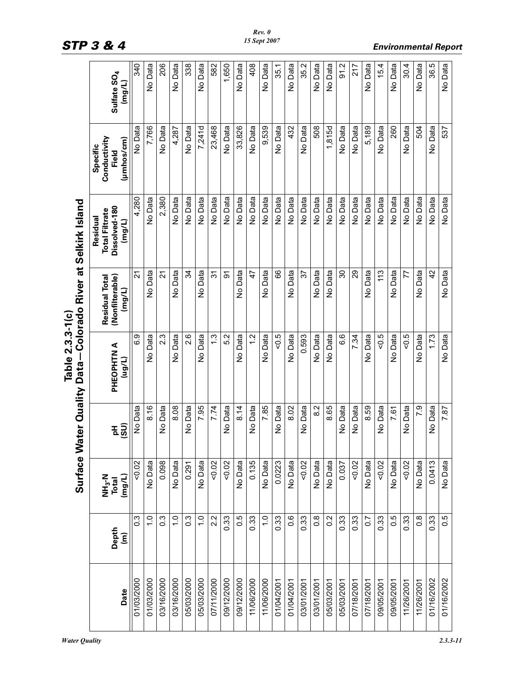|            |                                            | <b>Surface W</b>                                  | ater Quality Data | Table 2.3.3-1(c)     | Colorado River at Selkirk Island                   |                                                              |                                                 |                                   |
|------------|--------------------------------------------|---------------------------------------------------|-------------------|----------------------|----------------------------------------------------|--------------------------------------------------------------|-------------------------------------------------|-----------------------------------|
| Date       | Depth<br>$\widehat{\boldsymbol{\epsilon}}$ | <b>NH<sub>3</sub>-N</b><br>(mg/L)<br><b>Total</b> | $E\bigg _2^2$     | PHEOPHTN A<br>(llon) | (Nonfilterable)<br><b>Residual Total</b><br>(mg/L) | Dissolved-180<br><b>Total Filtrate</b><br>Residual<br>(mg/L) | Conductivity<br>(µmhos/cm)<br>Specific<br>Field | Sulfate SO <sub>4</sub><br>(mg/L) |
| 01/03/2000 | $0.\overline{3}$                           | 0.02                                              | No Data           | 6.9                  | 21                                                 | 4,280                                                        | No Data                                         | 340                               |
| 01/03/2000 | $\frac{0}{1}$                              | No Data                                           | 8.16              | No Data              | No Data                                            | No Data                                                      | 7,766                                           | No Data                           |
| 03/16/2000 | $0.\overline{3}$                           | 0.098                                             | No Data           | 2.3                  | $\tilde{2}$                                        | 2,380                                                        | No Data                                         | 206                               |
| 03/16/2000 | $\frac{0}{1}$                              | No Data                                           | 8.08              | No Data              | No Data                                            | No Data                                                      | 4,287                                           | No Data                           |
| 05/03/2000 | $0.\overline{3}$                           | 0.291                                             | No Data           | 2.6                  | 34                                                 | No Data                                                      | No Data                                         | 338                               |
| 05/03/2000 | $\frac{0}{1}$                              | No Data                                           | 7.95              | No Data              | No Data                                            | No Data                                                      | 7,241d                                          | No Data                           |
| 07/11/2000 | 2.2                                        | 50.02                                             | 7.74              | $\ddot{.}$           | $\overline{3}$                                     | No Data                                                      | 23,468                                          | 582                               |
| 09/12/2000 | 0.33                                       | 50.02                                             | No Data           | 5.2                  | δ                                                  | No Data                                                      | No Data                                         | 1,650                             |
| 09/12/2000 | 0.5                                        | No Data                                           | 8.14              | No Data              | No Data                                            | No Data                                                      | 33,826                                          | No Data                           |
| 11/06/2000 | 0.33                                       | 0.135                                             | No Data           | $\frac{2}{1}$        | 47                                                 | No Data                                                      | No Data                                         | 408                               |
| 11/06/2000 | $\frac{1}{2}$                              | No Data                                           | 7.85              | No Data              | No Data                                            | No Data                                                      | 9,539                                           | No Data                           |
| 01/04/2001 | 0.33                                       | 0.0223                                            | No Data           | $50 - 5$             | 89                                                 | No Data                                                      | No Data                                         | 35.1                              |
| 01/04/2001 | $0.\overline{6}$                           | No Data                                           | 8.02              | No Data              | No Data                                            | No Data                                                      | 432                                             | No Data                           |
| 03/01/2001 | 0.33                                       | 0.02                                              | No Data           | 0.593                | 57                                                 | No Data                                                      | No Data                                         | 35.2                              |
| 03/01/2001 | $0.\overline{8}$                           | No Data                                           | 8.2               | No Data              | No Data                                            | No Data                                                      | 508                                             | No Data                           |
| 05/03/2001 | 0.2                                        | No Data                                           | 8.65              | No Data              | No Data                                            | No Data                                                      | 1,815d                                          | No Data                           |
| 05/03/2001 | 0.33                                       | 0.037                                             | No Data           | 6.6                  | 30                                                 | No Data                                                      | No Data                                         | 91.2                              |
| 07/18/2001 | 0.33                                       | 0.02                                              | No Data           | 7.34                 | 29                                                 | No Data                                                      | No Data                                         | 217                               |
| 07/18/2001 | $\overline{0}$                             | No Data                                           | 8.59              | No Data              | No Data                                            | No Data                                                      | 5,189                                           | No Data                           |
| 09/05/2001 | 0.33                                       | 50.02                                             | No Data           | $-0.5$               | 113                                                | No Data                                                      | No Data                                         | 15.4                              |
| 09/05/2001 | 0.5                                        | No Data                                           | 7.61              | No Data              | No Data                                            | No Data                                                      | 260                                             | No Data                           |
| 11/26/2001 | 0.33                                       | 50.02                                             | No Data           | $50 - 5$             | 77                                                 | No Data                                                      | No Data                                         | 30.4                              |
| 11/26/2001 | $\frac{8}{2}$                              | No Data                                           | 7.9               | No Data              | No Data                                            | No Data                                                      | 504                                             | No Data                           |
| 01/16/2002 | 0.33                                       | 0.0413                                            | No Data           | 1.73                 | 42                                                 | No Data                                                      | No Data                                         | 36.5                              |
| 01/16/2002 | 0.5                                        | No Data                                           | 7.87              | No Data              | No Data                                            | No Data                                                      | 537                                             | No Data                           |

*Rev. 0 15 Sept 2007*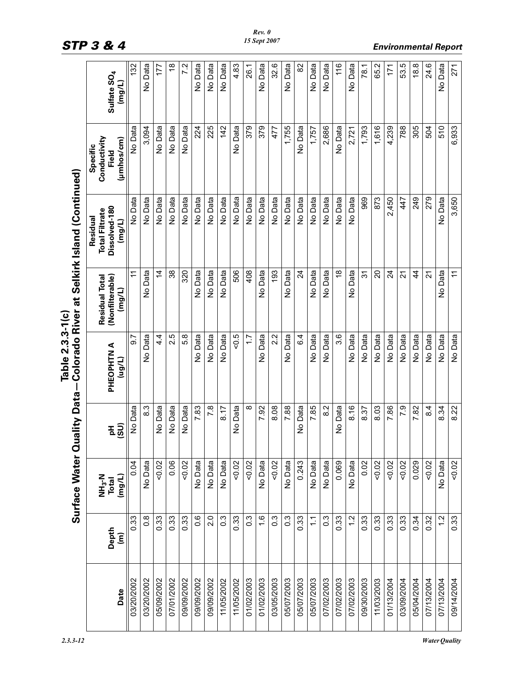|            |                                 | <b>Surface Water Q</b>                | <b>Luality Data</b> | Table 2.3.3-1 (c)    |                                             | Colorado River at Selkirk Island (Continued)                 |                                                 |                                   |
|------------|---------------------------------|---------------------------------------|---------------------|----------------------|---------------------------------------------|--------------------------------------------------------------|-------------------------------------------------|-----------------------------------|
| Date       | Depth<br>$\widehat{\mathsf{E}}$ | NH <sub>3</sub> -N<br>(mg/L)<br>Total | $\overline{49}$     | PHEOPHTN A<br>(l/6n) | (Nonfilterable)<br>Residual Total<br>(mg/L) | Dissolved-180<br><b>Total Filtrate</b><br>Residual<br>(mg/L) | Conductivity<br>(µmhos/cm)<br>Specific<br>Field | Sulfate SO <sub>4</sub><br>(mg/L) |
| 03/20/2002 | 0.33                            | 0.04                                  | No Data             | 5.6                  | ŕ                                           | No Data                                                      | No Data                                         | 132                               |
| 03/20/2002 | $0.\overline{8}$                | No Data                               | $8.\overline{3}$    | No Data              | No Data                                     | No Data                                                      | 3,094                                           | No Data                           |
| 05/09/2002 | 0.33                            | 0.02                                  | No Data             | $4\dot{4}$           | $\overline{4}$                              | No Data                                                      | No Data                                         | 177                               |
| 07/01/2002 | 0.33                            | 0.06                                  | No Data             | 2.5                  | 38                                          | No Data                                                      | No Data                                         | $\frac{8}{1}$                     |
| 09/09/2002 | 0.33                            | 0.02                                  | No Data             | 5.8                  | 320                                         | No Data                                                      | No Data                                         | 7.2                               |
| 09/09/2002 | $0.\overline{6}$                | No Data                               | 7.83                | No Data              | No Data                                     | No Data                                                      | 224                                             | No Data                           |
| 09/09/2002 | 2.0                             | No Data                               | 7.8                 | No Data              | No Data                                     | No Data                                                      | 225                                             | No Data                           |
| 11/05/2002 | $0.\overline{3}$                | No Data                               | 8.17                | No Data              | No Data                                     | No Data                                                      | 142                                             | No Data                           |
| 11/05/2002 | 0.33                            | 50.02                                 | No Data             | $50 - 5$             | 506                                         | No Data                                                      | No Data                                         | 4.83                              |
| 01/02/2003 | $0.\overline{3}$                | 0.02                                  | ∞                   | $\ddot{ }$ :         | 408                                         | No Data                                                      | 379                                             | 26.1                              |
| 01/02/2003 | $\frac{6}{1}$                   | No Data                               | 7.92                | No Data              | No Data                                     | No Data                                                      | 379                                             | No Data                           |
| 03/05/2003 | $0.\overline{3}$                | 0.02                                  | 8.08                | 2.2                  | 193                                         | No Data                                                      | 477                                             | 32.6                              |
| 05/07/2003 | $0.\overline{3}$                | No Data                               | 7.88                | No Data              | No Data                                     | No Data                                                      | 1,755                                           | No Data                           |
| 05/07/2003 | 0.33                            | 0.243                                 | No Data             | 6.4                  | $\overline{24}$                             | No Data                                                      | No Data                                         | 82                                |
| 05/07/2003 | $\frac{1}{2}$                   | No Data                               | 7.85                | No Data              | No Data                                     | No Data                                                      | 1,757                                           | No Data                           |
| 07/02/2003 | $0.\overline{3}$                | No Data                               | 8.2                 | No Data              | No Data                                     | No Data                                                      | 2,686                                           | No Data                           |
| 07/02/2003 | 0.33                            | 0.069                                 | No Data             | 3.6                  | $\overset{\infty}{\rightarrow}$             | No Data                                                      | No Data                                         | 116                               |
| 07/02/2003 | $\frac{2}{1}$                   | No Data                               | 8.16                | No Data              | No Data                                     | No Data                                                      | 2,721                                           | No Data                           |
| 09/30/2003 | 0.33                            | 0.02                                  | 8.37                | No Data              | $\overline{3}$                              | 969                                                          | 1,793                                           | 78.1                              |
| 11/03/2003 | 0.33                            | 0.02                                  | 8.03                | No Data              | $\overline{c}$                              | 873                                                          | 1,616                                           | 65.2                              |
| 01/13/2004 | 0.33                            | 0.02                                  | 7.86                | No Data              | $\overline{24}$                             | 2,450                                                        | 4,239                                           | 171                               |
| 03/09/2004 | 0.33                            | 0.02                                  | 7.9                 | No Data              | $\overline{2}$                              | 447                                                          | 788                                             | 53.5                              |
| 05/04/2004 | 0.34                            | 0.029                                 | 7.82                | No Data              | $\frac{4}{4}$                               | 249                                                          | 305                                             | 18.8                              |
| 07/13/2004 | 0.32                            | 50.02                                 | 8.4                 | No Data              | $\overline{2}$                              | 279                                                          | 504                                             | 24.6                              |
| 07/13/2004 | $\frac{2}{1}$                   | No Data                               | 8.34                | No Data              | No Data                                     | No Data                                                      | 510                                             | No Data                           |
| 09/14/2004 | 0.33                            | 50.02                                 | 8.22                | No Data              | $\tilde{t}$                                 | 3,650                                                        | 6,933                                           | 271                               |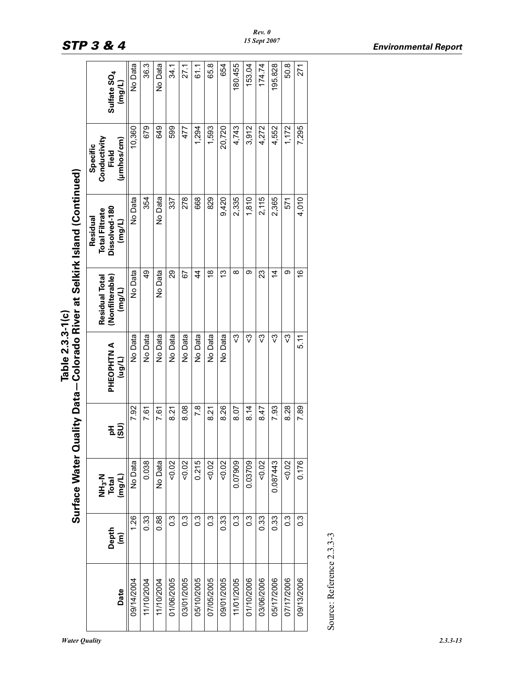|                           |                                            | <b>Surface Water Qu</b>               |          | Table 2.3.3-1(c)     |                                                    | ality Data-Colorado River at Selkirk Island (Continued)        |                                                 |                                                       |
|---------------------------|--------------------------------------------|---------------------------------------|----------|----------------------|----------------------------------------------------|----------------------------------------------------------------|-------------------------------------------------|-------------------------------------------------------|
| Date                      | Depth<br>$\widehat{\boldsymbol{\epsilon}}$ | (mg/L)<br>NH <sub>3</sub> -N<br>Total | E S<br>E | PHEOPHTN A<br>(l/6n) | (Nonfilterable)<br><b>Residual Total</b><br>(mg/L) | Dissolved-180<br><b>Total Filtrate</b><br>Residual<br>$($ mg/L | Conductivity<br>(µmhos/cm)<br>Specific<br>Field | Sulfate SO <sub>4</sub><br>$\left(\frac{1}{2}\right)$ |
| 09/14/2004                | 1.26                                       | No Data                               | 7.92     | No Data              | No Data                                            | No Data                                                        | 10,360                                          | No Data                                               |
| 11/10/2004                | 0.33                                       | 0.038                                 | 7.61     | No Data              | 49                                                 | 354                                                            | 679                                             | 36.3                                                  |
| 11/10/2004                | 0.88                                       | No Data                               | 7.61     | No Data              | No Data                                            | No Data                                                        | 649                                             | No Data                                               |
| 01/06/2005                | $\frac{3}{2}$                              | 0.02                                  | 8.21     | No Data              | 29                                                 | 337                                                            | 599                                             | 34.1                                                  |
| 03/01/2005                | C.S                                        | 50.02                                 | 8.08     | No Data              | 67                                                 | 278                                                            | 477                                             | 27.1                                                  |
| 05/10/2005                | $\frac{3}{2}$                              | 0.215                                 | 7.8      | No Data              | $\overline{4}$                                     | 668                                                            | 1,294                                           | 61.1                                                  |
| 07/05/2005                | $\frac{3}{2}$                              | 50.02                                 | 8.21     | No Data              | $\frac{8}{1}$                                      | 829                                                            | 1,593                                           | 65.8                                                  |
| 09/01/2005                | 0.33                                       | 0.02                                  | 8.26     | No Data              | 13                                                 | 9,420                                                          | 20,720                                          | 654                                                   |
| 11/01/2005                | $\frac{3}{2}$                              | 0.07909                               | 8.07     | ౄ                    | $\infty$                                           | 2,335                                                          | 4,743                                           | 180.455                                               |
| 01/10/2006                | 0.3                                        | 0.03709                               | 8.14     | ౄ                    | ග                                                  | 1,810                                                          | 3,912                                           | 153.04                                                |
| 03/06/2006                | 0.33                                       | 50.02                                 | 8.47     | ౄ                    | 23                                                 | 2,115                                                          | 4,272                                           | 174.74                                                |
| 05/17/2006                | 0.33                                       | 0.087443                              | 7.93     | ౄ                    | 4                                                  | 2,365                                                          | 4,552                                           | 195.828                                               |
| 07/17/2006                | $\frac{3}{2}$                              | 0.02                                  | 8.28     | ౄ                    | တ                                                  | 571                                                            | 1,172                                           | 50.8                                                  |
| 09/13/2006                | $\frac{3}{2}$                              | 0.176                                 | 7.89     | 5.11                 | $\overset{\circ}{\tau}$                            | 4,010                                                          | 7,295                                           | 271                                                   |
| Source: Reference 2.3.3-3 |                                            |                                       |          |                      |                                                    |                                                                |                                                 |                                                       |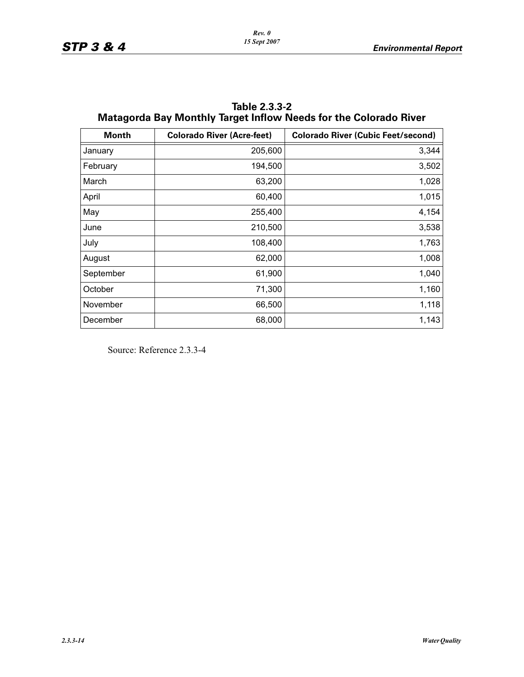| <b>Month</b> | <b>Colorado River (Acre-feet)</b> | <b>Colorado River (Cubic Feet/second)</b> |
|--------------|-----------------------------------|-------------------------------------------|
| January      | 205,600                           | 3,344                                     |
| February     | 194,500                           | 3,502                                     |
| March        | 63,200                            | 1,028                                     |
| April        | 60,400                            | 1,015                                     |
| May          | 255,400                           | 4,154                                     |
| June         | 210,500                           | 3,538                                     |
| July         | 108,400                           | 1,763                                     |
| August       | 62,000                            | 1,008                                     |
| September    | 61,900                            | 1,040                                     |
| October      | 71,300                            | 1,160                                     |
| November     | 66,500                            | 1,118                                     |
| December     | 68,000                            | 1,143                                     |

**Table 2.3.3-2 Matagorda Bay Monthly Target Inflow Needs for the Colorado River**

Source: Reference 2.3.3-4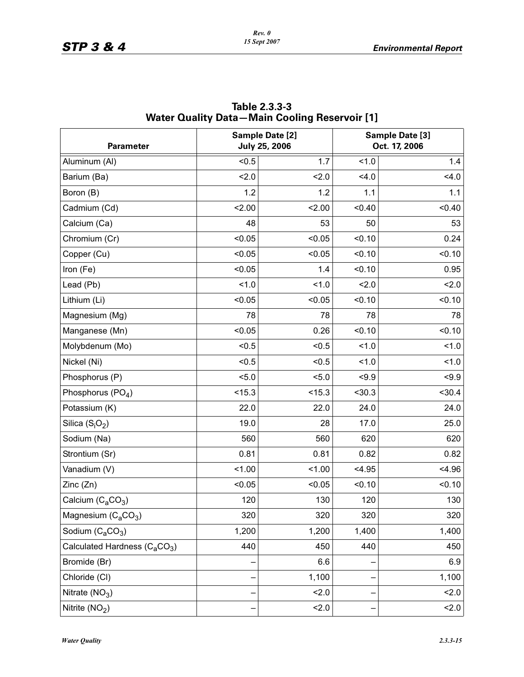| <b>Parameter</b>                                      |        | Sample Date [2]<br><b>July 25, 2006</b> |        | Sample Date [3]<br>Oct. 17, 2006 |
|-------------------------------------------------------|--------|-----------------------------------------|--------|----------------------------------|
| Aluminum (AI)                                         | < 0.5  | 1.7                                     | 1.0    | 1.4                              |
| Barium (Ba)                                           | 2.0    | 2.0                                     | 4.0    | 4.0                              |
| Boron (B)                                             | 1.2    | 1.2                                     | 1.1    | 1.1                              |
| Cadmium (Cd)                                          | 2.00   | 2.00                                    | < 0.40 | < 0.40                           |
| Calcium (Ca)                                          | 48     | 53                                      | 50     | 53                               |
| Chromium (Cr)                                         | < 0.05 | < 0.05                                  | < 0.10 | 0.24                             |
| Copper (Cu)                                           | < 0.05 | < 0.05                                  | < 0.10 | < 0.10                           |
| Iron (Fe)                                             | < 0.05 | 1.4                                     | < 0.10 | 0.95                             |
| Lead (Pb)                                             | 1.0    | 1.0                                     | 2.0    | 2.0                              |
| Lithium (Li)                                          | < 0.05 | < 0.05                                  | < 0.10 | < 0.10                           |
| Magnesium (Mg)                                        | 78     | 78                                      | 78     | 78                               |
| Manganese (Mn)                                        | < 0.05 | 0.26                                    | < 0.10 | < 0.10                           |
| Molybdenum (Mo)                                       | < 0.5  | < 0.5                                   | 1.0    | 1.0                              |
| Nickel (Ni)                                           | < 0.5  | < 0.5                                   | 1.0    | 1.0                              |
| Phosphorus (P)                                        | 5.0    | 5.0                                     | < 9.9  | $-9.9$                           |
| Phosphorus $(PO4)$                                    | < 15.3 | < 15.3                                  | < 30.3 | < 30.4                           |
| Potassium (K)                                         | 22.0   | 22.0                                    | 24.0   | 24.0                             |
| Silica $(S_iO_2)$                                     | 19.0   | 28                                      | 17.0   | 25.0                             |
| Sodium (Na)                                           | 560    | 560                                     | 620    | 620                              |
| Strontium (Sr)                                        | 0.81   | 0.81                                    | 0.82   | 0.82                             |
| Vanadium (V)                                          | 1.00   | 1.00                                    | < 4.95 | < 4.96                           |
| Zinc(Zn)                                              | < 0.05 | < 0.05                                  | < 0.10 | < 0.10                           |
| Calcium $(C_4CO_3)$                                   | 120    | 130                                     | 120    | 130                              |
| Magnesium $(C_aCO_3)$                                 | 320    | 320                                     | 320    | 320                              |
| Sodium $(C_aCO_3)$                                    | 1,200  | 1,200                                   | 1,400  | 1,400                            |
| Calculated Hardness (C <sub>a</sub> CO <sub>3</sub> ) | 440    | 450                                     | 440    | 450                              |
| Bromide (Br)                                          |        | 6.6                                     |        | 6.9                              |
| Chloride (CI)                                         |        | 1,100                                   |        | 1,100                            |
| Nitrate $(NO3)$                                       |        | 2.0                                     |        | 2.0                              |
| Nitrite (NO <sub>2</sub> )                            |        | 2.0                                     |        | 2.0                              |

**Table 2.3.3-3 Water Quality Data—Main Cooling Reservoir [1]**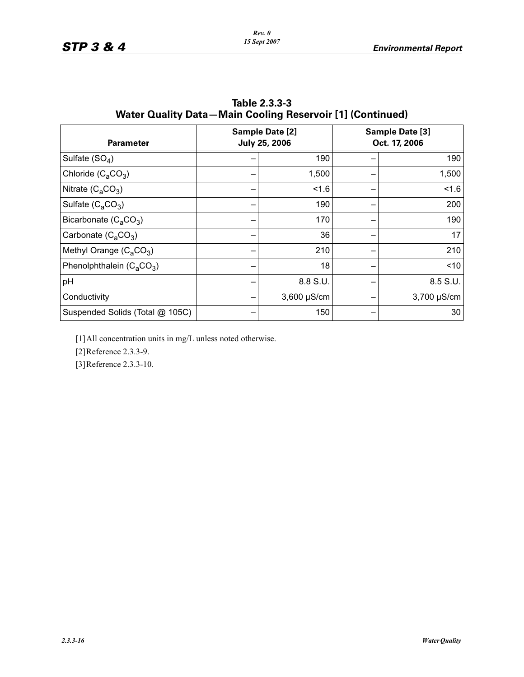| <b>Parameter</b>                |  | Sample Date [2]<br><b>July 25, 2006</b> | Sample Date [3]<br>Oct. 17, 2006 |
|---------------------------------|--|-----------------------------------------|----------------------------------|
| Sulfate $(SO_4)$                |  | 190                                     | 190                              |
| Chloride $(C_4CO_3)$            |  | 1,500                                   | 1,500                            |
| Nitrate $(C_4CO_3)$             |  | 1.6                                     | 1.6                              |
| Sulfate $(C_4CO_3)$             |  | 190                                     | 200                              |
| Bicarbonate $(C_4CO_3)$         |  | 170                                     | 190                              |
| Carbonate $(C_2CO_3)$           |  | 36                                      | 17                               |
| Methyl Orange $(C_4CO_3)$       |  | 210                                     | 210                              |
| Phenolphthalein $(C_4CO_3)$     |  | 18                                      | < 10                             |
| pH                              |  | 8.8 S.U.                                | 8.5 S.U.                         |
| Conductivity                    |  | $3,600 \mu S/cm$                        | 3,700 µS/cm                      |
| Suspended Solids (Total @ 105C) |  | 150                                     | 30                               |

**Table 2.3.3-3 Water Quality Data—Main Cooling Reservoir [1] (Continued)**

[1]All concentration units in mg/L unless noted otherwise.

[2]Reference 2.3.3-9.

[3]Reference 2.3.3-10.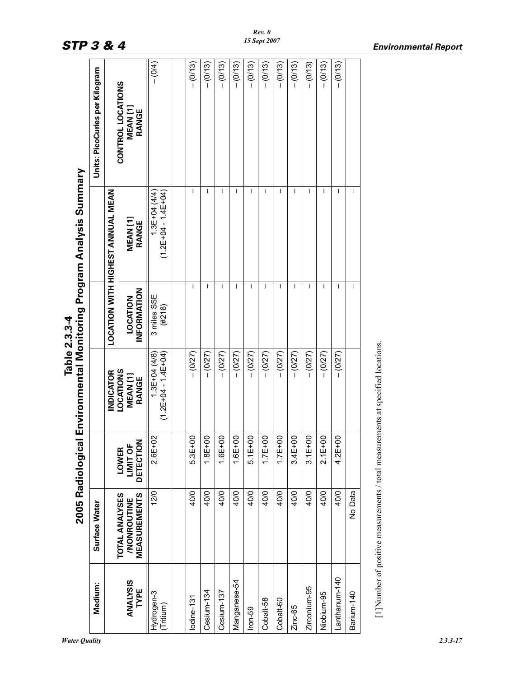| <b>STP 3 &amp; 4</b>                            |                                |                                          |                                                                           |                                         |             |              |              |              |             | 15 Sept 2007 |             |             |              |              |               |            | <b>Environmental Report</b>                                                      |
|-------------------------------------------------|--------------------------------|------------------------------------------|---------------------------------------------------------------------------|-----------------------------------------|-------------|--------------|--------------|--------------|-------------|--------------|-------------|-------------|--------------|--------------|---------------|------------|----------------------------------------------------------------------------------|
|                                                 | Units: PicoCuries per Kilogram |                                          | CONTROL LOCATIONS<br>MEAN <sub>[1]</sub><br>RANGE                         | $- (0/4)$                               | $- (0/13)$  | $- (0/13)$   | $- (0/13)$   | $- (0/13)$   | $- (0/13)$  | $- (0/13)$   | $- (0/13)$  | $- (0/13)$  | $- (0/13)$   | $- (0/13)$   | $- (0/13)$    |            |                                                                                  |
| vironmental Monitoring Program Analysis Summary |                                | <b>LOCATION WITH HIGHEST ANNUAL MEAN</b> | MEAN[1]<br>RANGE                                                          | $1.3E+04(4/4)$<br>$(1.2E+04 - 1.4E+04)$ | L           | $\mathbf{I}$ | $\mathsf{I}$ | <b>I</b>     |             | $\mathbf{I}$ | I           |             | -1           | $\mathbf{I}$ | <b>I</b>      | J.         |                                                                                  |
| Table 2.3.3-4                                   |                                |                                          | INFORMATION<br><b>LOCATION</b>                                            | 3 miles SSE<br>(H216)                   | ı           |              | L            |              |             | 1            |             | <b>I</b>    | -1           |              | ı             | ı          |                                                                                  |
|                                                 |                                | <b>INDICATOR</b>                         | <b>LOCATIONS</b><br>MEAN[1]<br>RANGE                                      | $1.3E+04(4/8)$<br>$(1.2E+04 - 1.4E+04)$ | $-(0/27)$   | $-(0/27)$    | $-(0/27)$    | $- (0/27)$   | $-(0/27)$   | $-(0/27)$    | $- (0/27)$  | $-(0/27)$   | $- (0/27)$   | $-(0/27)$    | $- (0/27)$    |            | [1] Number of positive measurements / total measurements at specified locations. |
| 2005 Radiological En                            |                                |                                          | DETECTION<br>LIMIT OF<br>LOWER                                            | $2.6E + 02$                             | $5.3E + 00$ | $1.8E + 00$  | $1.6E + 00$  | $1.6E + 00$  | $5.1E + 00$ | $1.7E+00$    | $1.7E + 00$ | $3.4E + 00$ | $3.1E + 00$  | $2.1E + 00$  | $4.2E + 00$   |            |                                                                                  |
|                                                 | Surface Water                  |                                          | <b>TOTAL ANALYSES</b><br><b>MEASUREMENTS</b><br><b><i>INONROUTINE</i></b> | 12/0                                    | 40/0        | 40/0         | 40/0         | 40/0         | 40/0        | 40/0         | 40/0        | 40/0        | 40/0         | 40/0         | 40/0          | No Data    |                                                                                  |
|                                                 | Medium:                        |                                          | <b>ANALYSIS</b><br>TYPE                                                   | Hydrogen-3<br>(Tritium)                 | lodine-131  | Cesium-134   | Cesium-137   | Manganese-54 | $lron-59$   | Cobalt-58    | Cobalt-60   | Zinc-65     | Zirconium-95 | Niobium-95   | Lanthanum-140 | Barium-140 |                                                                                  |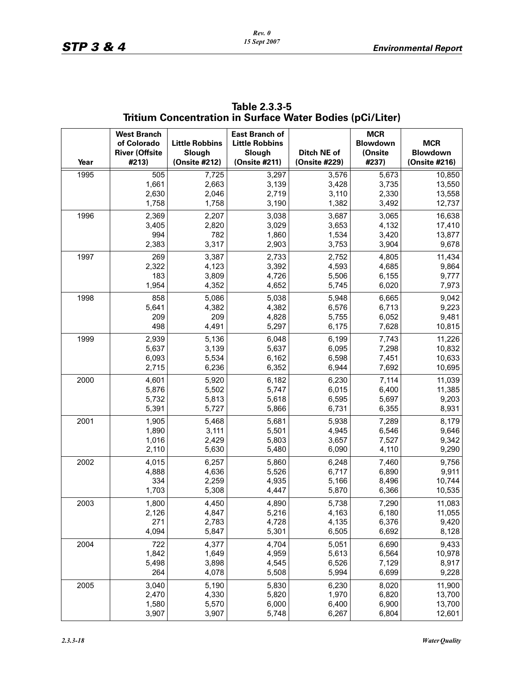| Year | <b>West Branch</b><br>of Colorado<br><b>River (Offsite</b><br>#213) | <b>Little Robbins</b><br>Slough<br>(Onsite #212) | <b>East Branch of</b><br><b>Little Robbins</b><br>Slough<br>(Onsite #211) | Ditch NE of<br>(Onsite #229) | <b>MCR</b><br><b>Blowdown</b><br>(Onsite<br>#237) | <b>MCR</b><br>Blowdown<br>(Onsite #216) |
|------|---------------------------------------------------------------------|--------------------------------------------------|---------------------------------------------------------------------------|------------------------------|---------------------------------------------------|-----------------------------------------|
| 1995 | 505                                                                 | 7,725                                            | 3,297                                                                     | 3,576                        | 5,673                                             | 10,850                                  |
|      | 1,661                                                               | 2,663                                            | 3,139                                                                     | 3,428                        | 3,735                                             | 13,550                                  |
|      | 2,630                                                               | 2,046                                            | 2,719                                                                     | 3,110                        | 2,330                                             | 13,558                                  |
|      | 1,758                                                               | 1,758                                            | 3,190                                                                     | 1,382                        | 3,492                                             | 12,737                                  |
| 1996 | 2,369<br>3,405<br>994                                               | 2,207<br>2,820<br>782                            | 3,038<br>3,029<br>1,860                                                   | 3,687<br>3,653               | 3,065<br>4,132                                    | 16,638<br>17,410                        |
|      | 2,383                                                               | 3,317                                            | 2,903                                                                     | 1,534<br>3,753               | 3,420<br>3,904                                    | 13,877<br>9,678                         |
| 1997 | 269                                                                 | 3,387                                            | 2,733                                                                     | 2,752                        | 4,805                                             | 11,434                                  |
|      | 2,322                                                               | 4,123                                            | 3,392                                                                     | 4,593                        | 4,685                                             | 9,864                                   |
|      | 183                                                                 | 3,809                                            | 4,726                                                                     | 5,506                        | 6,155                                             | 9,777                                   |
|      | 1,954                                                               | 4,352                                            | 4,652                                                                     | 5,745                        | 6,020                                             | 7,973                                   |
| 1998 | 858                                                                 | 5,086                                            | 5,038                                                                     | 5,948                        | 6,665                                             | 9,042                                   |
|      | 5,641                                                               | 4,382                                            | 4,382                                                                     | 6,576                        | 6,713                                             | 9,223                                   |
|      | 209                                                                 | 209                                              | 4,828                                                                     | 5,755                        | 6,052                                             | 9,481                                   |
|      | 498                                                                 | 4,491                                            | 5,297                                                                     | 6,175                        | 7,628                                             | 10,815                                  |
| 1999 | 2,939                                                               | 5,136                                            | 6,048                                                                     | 6,199                        | 7,743                                             | 11,226                                  |
|      | 5,637                                                               | 3,139                                            | 5,637                                                                     | 6,095                        | 7,298                                             | 10,832                                  |
|      | 6,093                                                               | 5,534                                            | 6,162                                                                     | 6,598                        | 7,451                                             | 10,633                                  |
|      | 2,715                                                               | 6,236                                            | 6,352                                                                     | 6,944                        | 7,692                                             | 10,695                                  |
| 2000 | 4,601                                                               | 5,920                                            | 6,182                                                                     | 6,230                        | 7,114                                             | 11,039                                  |
|      | 5,876                                                               | 5,502                                            | 5,747                                                                     | 6,015                        | 6,400                                             | 11,385                                  |
|      | 5,732                                                               | 5,813                                            | 5,618                                                                     | 6,595                        | 5,697                                             | 9,203                                   |
|      | 5,391                                                               | 5,727                                            | 5,866                                                                     | 6,731                        | 6,355                                             | 8,931                                   |
| 2001 | 1,905                                                               | 5,468                                            | 5,681                                                                     | 5,938                        | 7,289                                             | 8,179                                   |
|      | 1,890                                                               | 3,111                                            | 5,501                                                                     | 4,945                        | 6,546                                             | 9,646                                   |
|      | 1,016                                                               | 2,429                                            | 5,803                                                                     | 3,657                        | 7,527                                             | 9,342                                   |
|      | 2,110                                                               | 5,630                                            | 5,480                                                                     | 6,090                        | 4,110                                             | 9,290                                   |
| 2002 | 4,015                                                               | 6,257                                            | 5,860                                                                     | 6,248                        | 7,460                                             | 9,756                                   |
|      | 4,888                                                               | 4,636                                            | 5,526                                                                     | 6,717                        | 6,890                                             | 9,911                                   |
|      | 334                                                                 | 2,259                                            | 4,935                                                                     | 5,166                        | 8,496                                             | 10,744                                  |
|      | 1,703                                                               | 5,308                                            | 4,447                                                                     | 5,870                        | 6,366                                             | 10,535                                  |
| 2003 | 1,800                                                               | 4,450                                            | 4,890                                                                     | 5,738                        | 7,290                                             | 11,083                                  |
|      | 2,126                                                               | 4,847                                            | 5,216                                                                     | 4,163                        | 6,180                                             | 11,055                                  |
|      | 271                                                                 | 2,783                                            | 4,728                                                                     | 4,135                        | 6,376                                             | 9,420                                   |
|      | 4,094                                                               | 5,847                                            | 5,301                                                                     | 6,505                        | 6,692                                             | 8,128                                   |
| 2004 | 722                                                                 | 4,377                                            | 4,704                                                                     | 5,051                        | 6,690                                             | 9,433                                   |
|      | 1,842                                                               | 1,649                                            | 4,959                                                                     | 5,613                        | 6,564                                             | 10,978                                  |
|      | 5,498                                                               | 3,898                                            | 4,545                                                                     | 6,526                        | 7,129                                             | 8,917                                   |
|      | 264                                                                 | 4,078                                            | 5,508                                                                     | 5,994                        | 6,699                                             | 9,228                                   |
| 2005 | 3,040                                                               | 5,190                                            | 5,830                                                                     | 6,230                        | 8,020                                             | 11,900                                  |
|      | 2,470                                                               | 4,330                                            | 5,820                                                                     | 1,970                        | 6,820                                             | 13,700                                  |
|      | 1,580                                                               | 5,570                                            | 6,000                                                                     | 6,400                        | 6,900                                             | 13,700                                  |
|      | 3,907                                                               | 3,907                                            | 5,748                                                                     | 6,267                        | 6,804                                             | 12,601                                  |

**Table 2.3.3-5 Tritium Concentration in Surface Water Bodies (pCi/Liter)**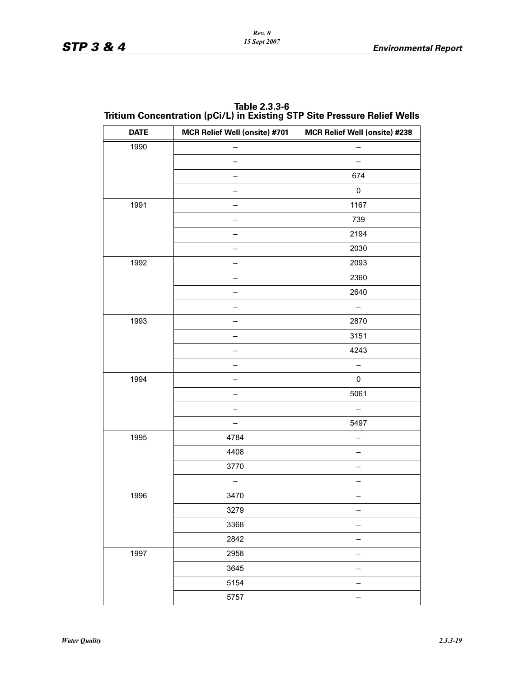| Table 2.3.3-6                                                            |
|--------------------------------------------------------------------------|
| Tritium Concentration (pCi/L) in Existing STP Site Pressure Relief Wells |

| <b>DATE</b> | MCR Relief Well (onsite) #701 | MCR Relief Well (onsite) #238 |
|-------------|-------------------------------|-------------------------------|
| 1990        |                               |                               |
|             |                               |                               |
|             |                               | 674                           |
|             |                               | $\pmb{0}$                     |
| 1991        |                               | 1167                          |
|             |                               | 739                           |
|             |                               | 2194                          |
|             |                               | 2030                          |
| 1992        |                               | 2093                          |
|             |                               | 2360                          |
|             |                               | 2640                          |
|             |                               | $\qquad \qquad -$             |
| 1993        |                               | 2870                          |
|             |                               | 3151                          |
|             |                               | 4243                          |
|             |                               |                               |
| 1994        |                               | 0                             |
|             |                               | 5061                          |
|             |                               |                               |
|             |                               | 5497                          |
| 1995        | 4784                          |                               |
|             | 4408                          | —                             |
|             | 3770                          |                               |
|             |                               |                               |
| 1996        | 3470                          |                               |
|             | 3279                          |                               |
|             | 3368                          |                               |
|             | 2842                          |                               |
| 1997        | 2958                          |                               |
|             | 3645                          |                               |
|             | 5154                          | -                             |
|             | 5757                          |                               |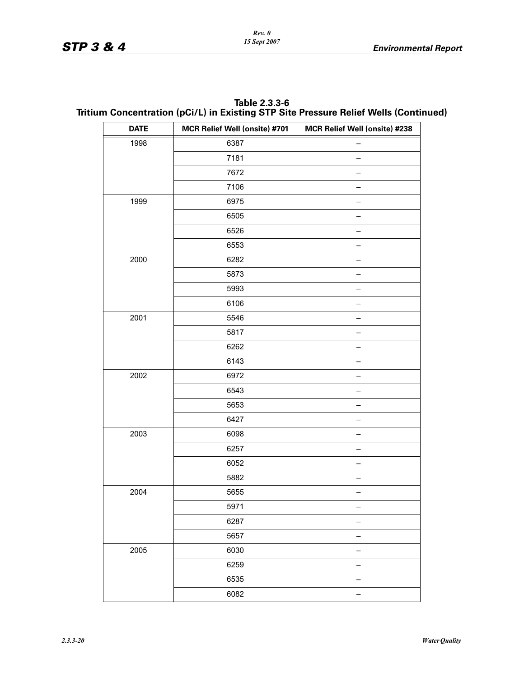| Table 2.3.3-6                                                                        |
|--------------------------------------------------------------------------------------|
| Tritium Concentration (pCi/L) in Existing STP Site Pressure Relief Wells (Continued) |

| <b>DATE</b> | MCR Relief Well (onsite) #701 | MCR Relief Well (onsite) #238 |
|-------------|-------------------------------|-------------------------------|
| 1998        | 6387                          |                               |
|             | 7181                          |                               |
|             | 7672                          |                               |
|             | 7106                          |                               |
| 1999        | 6975                          |                               |
|             | 6505                          |                               |
|             | 6526                          |                               |
|             | 6553                          |                               |
| 2000        | 6282                          |                               |
|             | 5873                          |                               |
|             | 5993                          |                               |
|             | 6106                          |                               |
| 2001        | 5546                          |                               |
|             | 5817                          |                               |
|             | 6262                          |                               |
|             | 6143                          |                               |
| 2002        | 6972                          |                               |
|             | 6543                          |                               |
|             | 5653                          |                               |
|             | 6427                          |                               |
| 2003        | 6098                          |                               |
|             | 6257                          |                               |
|             | 6052                          |                               |
|             | 5882                          |                               |
| 2004        | 5655                          |                               |
|             | 5971                          |                               |
|             | 6287                          |                               |
|             | 5657                          |                               |
| 2005        | 6030                          |                               |
|             | 6259                          |                               |
|             | 6535                          |                               |
|             | 6082                          |                               |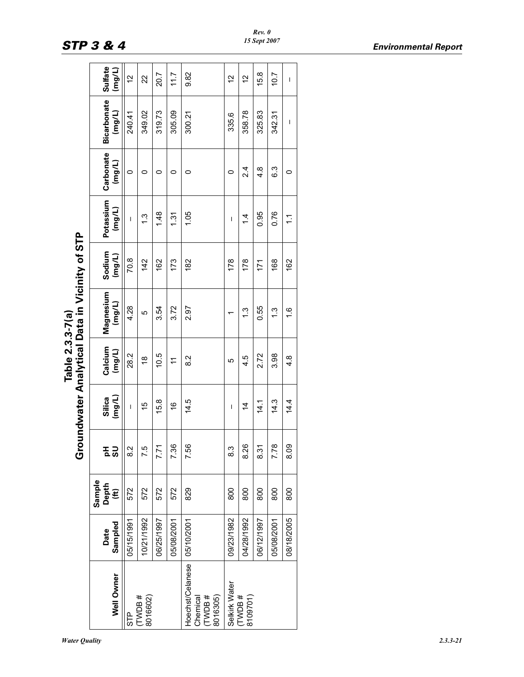|                                                               |                 | Sample     | ە<br>ق |                  | Table 2.3.3-7(a)  | undwater Analytical Data in Vicinity of STP |                  |                     |                     |                              |                          |
|---------------------------------------------------------------|-----------------|------------|--------|------------------|-------------------|---------------------------------------------|------------------|---------------------|---------------------|------------------------------|--------------------------|
| Well Owner                                                    | Sampled<br>Date | Depth<br>Ê | 동 2    | (mg/L)<br>Silica | Calcium<br>(mg/L) | Magnesium<br>(mg/L)                         | Sodium<br>(mg/L) | Potassium<br>(mg/L) | Carbonate<br>(mg/L) | <b>Bicarbonate</b><br>(mg/L) | Sulfate<br>$\frac{1}{2}$ |
| STP                                                           | 05/15/1991      | 572        | 2.8    | $\overline{1}$   | 28.2              | 4.28                                        | 70.8             | $\overline{1}$      | 0                   | 240.41                       | $\frac{2}{3}$            |
| TWDB#<br>8016602)                                             | 10/21/1992      | 572        | 7.5    | 15               | $\frac{8}{1}$     | 5                                           | 142              | 1.3                 | 0                   | 349.02                       | 22                       |
|                                                               | 06/25/1997      | 572        | 7.71   | 15.8             | 10.5              | 3.54                                        | 162              | 1.48                | 0                   | 319.73                       | 20.7                     |
|                                                               | 05/08/2001      | 572        | 7.36   | $\frac{6}{5}$    | $\tilde{t}$       | 3.72                                        | 173              | 1.31                | 0                   | 305.09                       | 11.7                     |
| Hoechst/Celanese 05/10/2001<br># HOML<br>8016305)<br>Chemical |                 | 829        | 7.56   | 14.5             | 8.2               | 2.97                                        | 182              | 1.05                | 0                   | 300.21                       | 9.82                     |
| Selkirk Water                                                 | 09/23/1982      | 800        | 8.3    | $\mathsf I$      | 5                 |                                             | 178              | I                   | 0                   | 335.6                        | $\frac{2}{1}$            |
| <b>TWDB#</b><br>8109701)                                      | 04/28/1992      | 800        | 8.26   | 4                | 4.5               | 1.3                                         | 178              | $\dot{4}$           | 2.4                 | 358.78                       | $\frac{2}{3}$            |
|                                                               | 06/12/1997      | 800        | 8.31   | 14.1             | 2.72              | 0.55                                        | 171              | 0.95                | 4.8                 | 325.83                       | 15.8                     |
|                                                               | 05/08/2001      | 800        | 7.78   | 14.3             | 3.98              | $\frac{3}{1}$                               | 168              | 0.76                | 6.3                 | 342.31                       | 10.7                     |
|                                                               | 08/18/2005      | 800        | 8.09   | 14.4             | $4.\overline{8}$  | $\frac{6}{1}$                               | 162              | $\tilde{\cdot}$     | 0                   | I                            | $\mathsf I$              |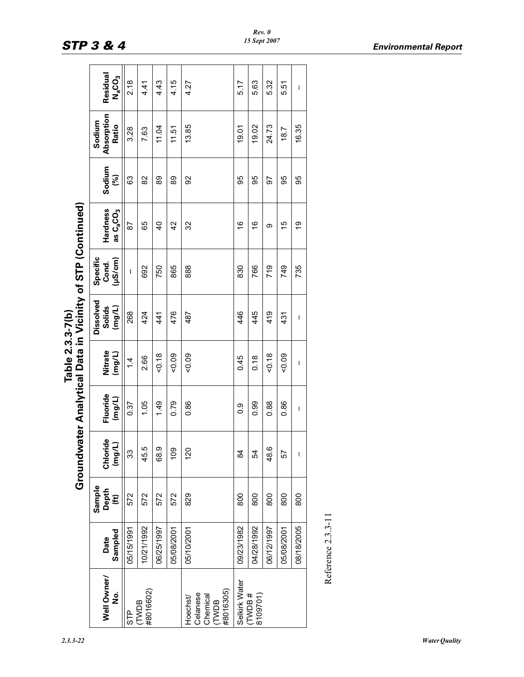|                  | $\frac{2}{5}$                                                   |
|------------------|-----------------------------------------------------------------|
| Table 2.3.3-7(b) | v of STP (Con<br>ıl Data in Vicinity<br>nalytica<br>ndwater An. |
|                  |                                                                 |

|                                                             |                       |                         |                        |                       | Table 2.3.3-7(b)  | Groundwater Analytical Data in Vicinity of STP (Continued) |                                    |                                               |                         |                               |                                            |
|-------------------------------------------------------------|-----------------------|-------------------------|------------------------|-----------------------|-------------------|------------------------------------------------------------|------------------------------------|-----------------------------------------------|-------------------------|-------------------------------|--------------------------------------------|
| Well Owner<br>ġ                                             | Sampled<br>Date       | Sample<br>Depth<br>(ft) | Chloride<br>(mg/L)     | Fluoride<br>$($ mg/L) | Nitrate<br>(mg/L) | Dissolved<br>Solids<br>(mg/L)                              | Specific<br>$($ µS/cm $)$<br>Cond. | Hardness<br>as C <sub>a</sub> CO <sub>3</sub> | Sodium<br>$\mathcal{S}$ | Absorption<br>Sodium<br>Ratio | Residual<br>N <sub>a</sub> CO <sub>3</sub> |
| STP                                                         | 05/15/1991            | 572                     | 33                     | 0.37                  | $\dot{4}$         | 268                                                        | ł                                  | 87                                            | 63                      | 3.28                          | 2.18                                       |
| #8016602)<br><b>TWDB</b>                                    | 10/21/1992            | 572                     | 45.5                   | 1.05                  | 2.66              | 424                                                        | 692                                | 65                                            | 82                      | 7.63                          | 4.41                                       |
|                                                             | 06/25/1997            | 572                     | $\sigma$<br>$\ddot{8}$ | 1.49                  | 50.18             | 441                                                        | 750                                | $\overline{0}$                                | 89                      | 11.04                         | 4.43                                       |
|                                                             | 05/08/2001            | 572                     | $\frac{50}{2}$         | 0.79                  | $-0.09$           | 476                                                        | 865                                | 42                                            | 89                      | 11.51                         | 4.15                                       |
| #8016305)<br>Celanese<br>Chemical<br>Hoechst<br><b>TWDB</b> | 05/10/2001            | 829                     | <u>st</u>              | 0.86                  | $-0.09$           | 487                                                        | 888                                | 32                                            | 92                      | 13.85                         | 4.27                                       |
| Selkirk Water                                               | 09/23/1982            | 800                     | \$                     | 0.9                   | 0.45              | 446                                                        | 830                                | $\overset{\circ}{\rightarrow}$                | 95                      | 19.01                         | 5.17                                       |
| (TWDB#<br>8109701)                                          | 04/28/1992            | 800                     | 54                     | 0.99                  | 0.18              | 445                                                        | 766                                | $\overset{\circ}{\rightarrow}$                | 95                      | 19.02                         | 5.63                                       |
|                                                             | 06/12/1997            | 800                     | 48.6                   | 0.88                  | 50.18             | 419                                                        | 719                                | တ                                             | 56                      | 24.73                         | 5.32                                       |
|                                                             | 05/08/2001            | 800                     | 57                     | 0.86                  | $-0.09$           | 431                                                        | 749                                | $\frac{5}{1}$                                 | 95                      | 18.7                          | 5.51                                       |
|                                                             | 08/18/2005            | 800                     | $\mathsf I$            | I                     | $\mathsf I$       | I                                                          | 735                                | 6)                                            | 95                      | 16.35                         | $\overline{1}$                             |
|                                                             | Reference $2.3.3$ -11 |                         |                        |                       |                   |                                                            |                                    |                                               |                         |                               |                                            |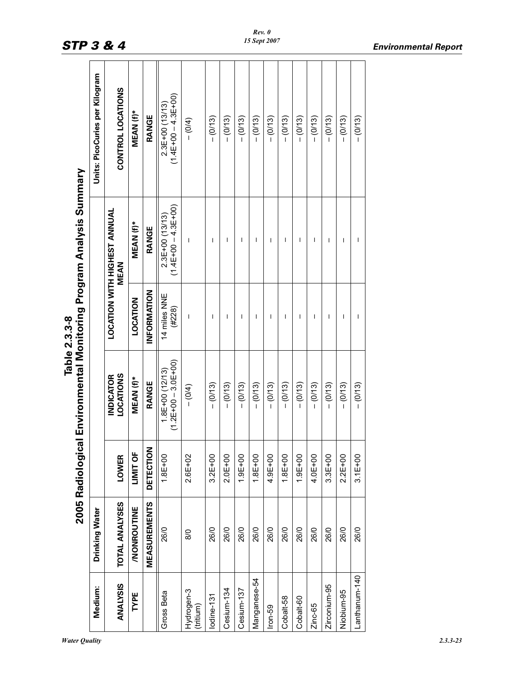|                                                                     | Units: PicoCuries per Kilogram | CONTROL LOCATIONS                           | MEAN (f)*          | RANGE               | $(1.4E+00-4.3E+00)$<br>$2.3E+00(13/13)$ | $- (0/4)$               | $- (0/13)$  | $- (0/13)$  | $- (0/13)$  | $- (0/13)$   | $- (0/13)$  | $- (0/13)$     | $- (0/13)$     | $- (0/13)$  | $- (0/13)$   | $- (0/13)$               | $- (0/13)$    |
|---------------------------------------------------------------------|--------------------------------|---------------------------------------------|--------------------|---------------------|-----------------------------------------|-------------------------|-------------|-------------|-------------|--------------|-------------|----------------|----------------|-------------|--------------|--------------------------|---------------|
|                                                                     |                                | <b>LOCATION WITH HIGHEST ANNUAL</b><br>MEAN | MEAN (f)*          | RANGE               | (1)4E+00+H4.7<br>$2.3E+00(13/13)$       | I                       | I           | I           | T           | I            | ı           | $\overline{1}$ | $\overline{1}$ | I           | I            | $\overline{\phantom{a}}$ | I             |
| Table 2.3.3-8                                                       |                                |                                             | LOCATION           | INFORMATION         | 14 miles NNE<br>(#228)                  | I                       | I           | I           | T           | I            | I           | I              | I              | ı           | I            | ı                        | I             |
| 2005 Radiological Environmental Monitoring Program Analysis Summary |                                | <b>LOCATIONS</b><br><b>INDICATOR</b>        | MEAN (f)*          | RANGE               | $(1.2E+00-3.0E+00)$<br>$1.8E+00(12/13)$ | $- (0/4)$               | $- (0/13)$  | $- (0/13)$  | $- (0/13)$  | $-(0/13)$    | $- (0/13)$  | $- (0/13)$     | $- (0/13)$     | $- (0/13)$  | $- (0/13)$   | $- (0/13)$               | $-(0/13)$     |
|                                                                     |                                | <b>LOWER</b>                                | LIMIT OF           | <b>DETECTION</b>    | $1.8E + 00$                             | $2.6E + 02$             | $3.2E + 00$ | $2.0E + 00$ | $1.9E + 00$ | $1.8E + 00$  | $4.9E + 00$ | $1.8E + 00$    | $1.9E + 00$    | $4.0E + 00$ | $3.3E + 00$  | $2.2E + 00$              | $3.1E + 00$   |
|                                                                     | Drinking Water                 | <b>TOTAL ANALYSES</b>                       | <b>/NONROUTINE</b> | <b>MEASUREMENTS</b> | 26/0                                    | 8/0                     | 26/0        | 26/0        | 26/0        | 26/0         | 26/0        | 26/0           | 26/0           | 26/0        | 26/0         | 26/0                     | 26/0          |
|                                                                     | Medium:                        | <b>ANALYSIS</b>                             | TYPE               |                     | Gross Beta                              | Hydrogen-3<br>(tritium) | lodine-131  | Cesium-134  | Cesium-137  | Manganese-54 | $lron-59$   | Cobalt-58      | Cobalt-60      | Zinc-65     | Zirconium-95 | Niobium-95               | Lanthanum-140 |

 $\mathbf{\overline{u}}$ 

T ┱

 $\mathsf{r}$ 

 $\overline{\phantom{a}}$  $\overline{\phantom{a}}$   $\blacksquare$ 

┱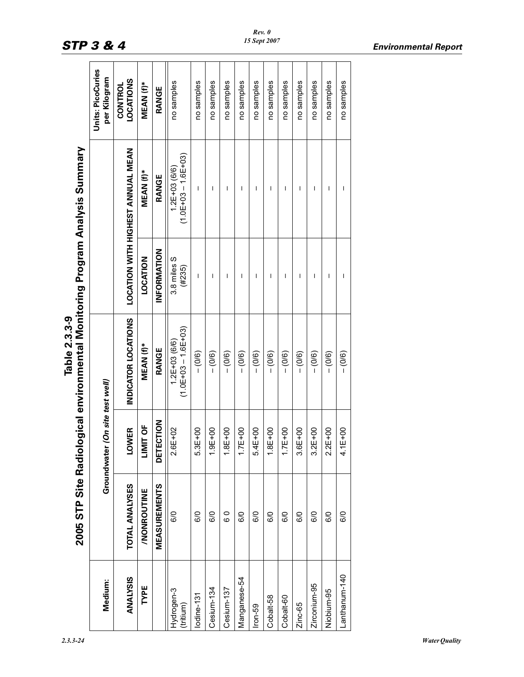|                                                                           | Units: PicoCuries<br>per Kilogram  | <b>LOCATIONS</b><br><b>CONTROL</b>       | MEAN (f)*               | <b>RANGE</b>        | no samples                                  | no samples     | no samples  | no samples  | no samples               | no samples  | no samples  | no samples  | no samples  | no samples   | no samples     | no samples    |
|---------------------------------------------------------------------------|------------------------------------|------------------------------------------|-------------------------|---------------------|---------------------------------------------|----------------|-------------|-------------|--------------------------|-------------|-------------|-------------|-------------|--------------|----------------|---------------|
|                                                                           |                                    | <b>LOCATION WITH HIGHEST ANNUAL MEAN</b> | MEAN (f)*               | RANGE               | $(1.0E+03 - 1.6E+03)$<br>$1.2E + 03(6/6)$   | I              | I           | I           | $\overline{\phantom{a}}$ | ı           | I           | ı           | T           | I            | I              | $\mathsf I$   |
|                                                                           |                                    |                                          | LOCATION                | INFORMATION         | 3.8 miles S<br>(#235)                       | $\overline{1}$ | I           | I           | $\overline{1}$           | T           | I           | T           | T           | I            | $\overline{1}$ | T             |
| ogical environmental Monitoring Program Analysis Summary<br>Table 2.3.3-9 |                                    | INDICATOR LOCATIONS                      | MEAN (f)*               | RANGE               | $(1.0E+0.3 - 1.6E+0.3)$<br>$1.2E + 03(6/6)$ | $- (0/6)$      | $- (0/6)$   | $- (0/6)$   | $- (0/6)$                | $- (0/6)$   | $- (0/6)$   | $- (0/6)$   | $- (0/6)$   | $- (0/6)$    | $- (0/6)$      | $- (0/6)$     |
|                                                                           | (On site test well)<br>Groundwater | <b>LOWER</b>                             | <b>UF</b><br><u>imi</u> | DETECTION           | $2.6E + 02$                                 | $5.3E + 00$    | $1.9E + 00$ | $1.8E + 00$ | $1.7E + 00$              | $5.4E + 00$ | $1.8E + 00$ | $1.7E + 00$ | $3.6E + 00$ | $3.2E + 00$  | $2.2E + 00$    | $4.1E + 00$   |
| 2005 STP Site Radiol                                                      |                                    | <b>TOTAL ANALYSES</b>                    | /NONROUTINE             | <b>MEASUREMENTS</b> | 6/0                                         | 6/0            | 6/0         | o 9         | 6/0                      | 6/0         | 6/0         | 6/0         | 6/0         | 6/0          | 6/0            | 6/0           |
|                                                                           | Medium:                            | <b>ANALYSIS</b>                          | TYPE                    |                     | Hydrogen-3<br>(tritium)                     | lodine-131     | Cesium-134  | Cesium-137  | Manganese-54             | $lron-59$   | Cobalt-58   | Cobalt-60   | Zinc-65     | Zirconium-95 | Niobium-95     | Lanthanum-140 |

*Rev. 0 15 Sept 2007*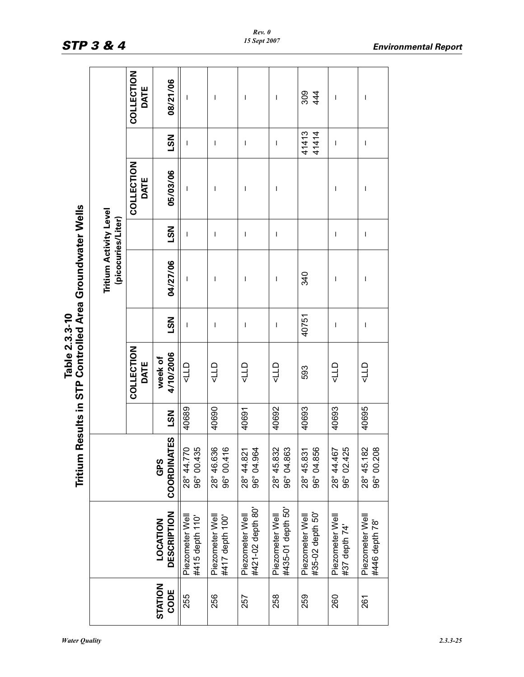|                                                                            |                                                     | COLLECTION<br>DATE | 08/21/06                       | T                                  | I                                  | $\overline{\phantom{a}}$             | I                                    | $309$<br>444                        | I                                | $\overline{\phantom{a}}$          |
|----------------------------------------------------------------------------|-----------------------------------------------------|--------------------|--------------------------------|------------------------------------|------------------------------------|--------------------------------------|--------------------------------------|-------------------------------------|----------------------------------|-----------------------------------|
|                                                                            |                                                     |                    | <b>LSN</b>                     | T                                  | I                                  | $\mathsf I$                          | I                                    | 41413<br>41414                      | I                                | I                                 |
|                                                                            |                                                     | COLLECTION<br>DATE | 05/03/06                       | T                                  | T                                  | $\overline{\phantom{a}}$             | I                                    |                                     | I                                | I                                 |
|                                                                            |                                                     |                    | <b>NST</b>                     | I                                  | I                                  | $\overline{\phantom{a}}$             | $\overline{\phantom{a}}$             |                                     | I                                | I                                 |
|                                                                            | <b>Tritium Activity Level</b><br>(picocuries/Liter) |                    | 04/27/06                       | ı                                  | I                                  | $\mathbf{I}$                         | T                                    | 340                                 | I                                | I                                 |
|                                                                            |                                                     |                    | <b>LSN</b>                     | I                                  | I                                  | $\mathbf{I}$                         | I                                    | 40751                               | T                                | I                                 |
| Tritium Results in STP Controlled Area Groundwater Wells<br>Table 2.3.3-10 |                                                     | COLLECTION<br>DATE | 4/10/2006<br>week of           | 110                                | dTP                                | dTP                                  | dTP                                  | 593                                 | dTP                              | dTP                               |
|                                                                            |                                                     |                    | <b>LSN</b>                     | 40689                              | 40690                              | 40691                                | 40692                                | 40693                               | 40693                            | 40695                             |
|                                                                            |                                                     |                    | <b>COORDINATES</b><br>GPS      | 28° 44.770<br>96° 00.435           | 28° 46.636<br>96° 00.416           | 96° 04.964<br>28° 44.821             | 28° 45.832<br>96° 04.863             | 96° 04.856<br>28° 45.831            | 96° 02.425<br>28° 44.467         | 28° 45.182<br>96° 00.208          |
|                                                                            |                                                     |                    | <b>DESCRIPTION</b><br>LOCATION | #415 depth 110'<br>Piezometer Well | #417 depth 100'<br>Piezometer Well | #421-02 depth 80'<br>Piezometer Well | #435-01 depth 50'<br>Piezometer Well | #35-02 depth 50'<br>Piezometer Well | Piezometer Well<br>#37 depth 74' | Piezometer Well<br>#446 depth 78' |
|                                                                            |                                                     |                    | STATION<br>CODE                | 255                                | 256                                | 257                                  | 258                                  | 259                                 | 260                              | 261                               |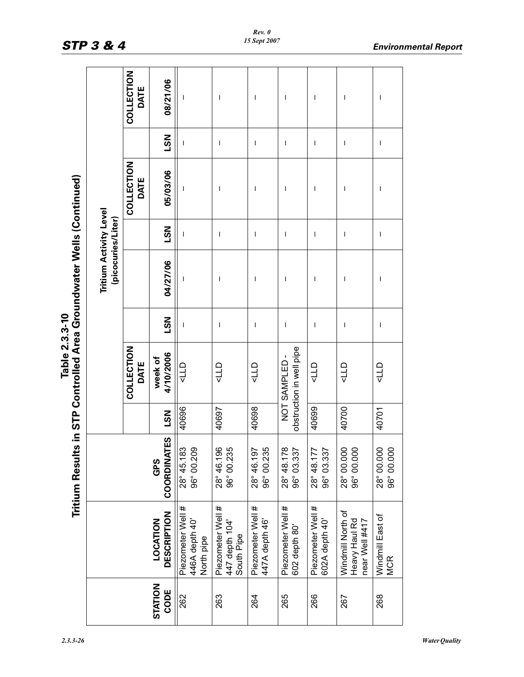| Jells (C<br>٦<br>Table 2.3.3-10 |  | <b>1 Results in STP Controlled Area Groundwate</b> |  |
|---------------------------------|--|----------------------------------------------------|--|
|                                 |  |                                                    |  |
|                                 |  |                                                    |  |
|                                 |  |                                                    |  |
|                                 |  |                                                    |  |
|                                 |  |                                                    |  |
|                                 |  |                                                    |  |

|                                                                      |                                                     | COLLECTION<br>DATE | 08/21/06                       | $\overline{\phantom{a}}$                          | $\overline{\phantom{a}}$                          | $\overline{\phantom{a}}$            | I                                        | I                                   | I                                                    | I                              |
|----------------------------------------------------------------------|-----------------------------------------------------|--------------------|--------------------------------|---------------------------------------------------|---------------------------------------------------|-------------------------------------|------------------------------------------|-------------------------------------|------------------------------------------------------|--------------------------------|
|                                                                      |                                                     |                    | <b>NST</b>                     | $\mathbf{I}$                                      | $\overline{\phantom{a}}$                          | $\overline{\phantom{a}}$            | I                                        | I                                   | $\overline{\phantom{a}}$                             | $\overline{\phantom{a}}$       |
|                                                                      |                                                     | COLLECTION<br>DATE | 05/03/06                       | $\mathbf{I}$                                      | $\overline{\phantom{a}}$                          | I                                   | ı                                        | I                                   | I                                                    | I                              |
|                                                                      |                                                     |                    | <b>NST</b>                     | $\overline{\phantom{a}}$                          | $\overline{\phantom{a}}$                          | $\overline{\phantom{a}}$            | T                                        | I                                   | I                                                    | I                              |
|                                                                      | <b>Tritium Activity Level</b><br>(picocuries/Liter) |                    | 04/27/06                       | $\overline{\phantom{a}}$                          | $\overline{\phantom{a}}$                          | I                                   | ı                                        | I                                   | ı                                                    | I                              |
|                                                                      |                                                     |                    | <b>LSN</b>                     | $\overline{\phantom{a}}$                          | $\overline{\phantom{a}}$                          | $\overline{\phantom{a}}$            | T                                        | $\overline{1}$                      | $\overline{\phantom{a}}$                             | $\overline{\phantom{a}}$       |
| Table 2.3.3-10                                                       |                                                     | COLLECTION<br>DATE | 4/10/2006<br>week of           | dTP                                               | dTP                                               | <b>CTP</b>                          | obstruction in well pipe<br>NOT SAMPLED- | dTP                                 | dTP                                                  | dTP                            |
|                                                                      |                                                     |                    | <b>LSN</b>                     | 40696                                             | 40697                                             | 40698                               |                                          | 40699                               | 40700                                                | 40701                          |
| Tritium Results in STP Controlled Area Groundwater Wells (Continued) |                                                     |                    | ES<br>E<br>COORDINAT<br>GPS    | 28° 45.183<br>96° 00.209                          | 28° 46.196<br>96° 00.235                          | 96° 00.235<br>28° 46.197            | 28° 48.178<br>96° 03.337                 | 28° 48.177<br>96° 03.33             | 28° 00.000<br>96° 00.000                             | 28° 00.000<br>96° 00.000       |
|                                                                      |                                                     |                    | <b>DESCRIPTION</b><br>LOCATION | Piezometer Well #<br>446A depth 40'<br>North pipe | Piezometer Well #<br>447 depth 104'<br>South Pipe | Piezometer Well #<br>447A depth 46' | Piezometer Well #<br>602 depth 80'       | Piezometer Well #<br>602A depth 40' | Windmill North of<br>near Well #417<br>Heavy Haul Rd | Windmill East of<br><b>MCR</b> |
|                                                                      |                                                     |                    | STATION<br>CODE                | 262                                               | 263                                               | 264                                 | 265                                      | 266                                 | 267                                                  | 268                            |